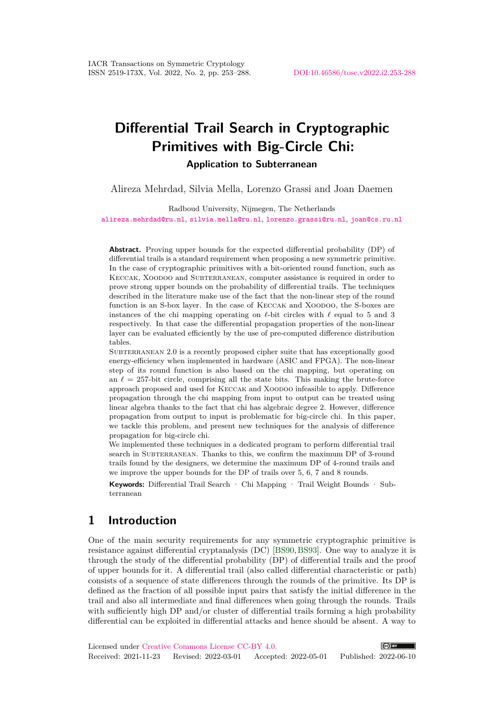# **Differential Trail Search in Cryptographic Primitives with Big-Circle Chi: Application to Subterranean**

Alireza Mehrdad, Silvia Mella, Lorenzo Grassi and Joan Daemen

Radboud University, Nijmegen, The Netherlands [alireza.mehrdad@ru.nl](mailto:alireza.mehrdad@ru.nl), [silvia.mella@ru.nl](mailto:silvia.mella@ru.nl), [lorenzo.grassi@ru.nl](mailto:lorenzo.grassi@ru.nl), [joan@cs.ru.nl](mailto:joan@cs.ru.nl)

**Abstract.** Proving upper bounds for the expected differential probability (DP) of differential trails is a standard requirement when proposing a new symmetric primitive. In the case of cryptographic primitives with a bit-oriented round function, such as KECCAK, XOODOO and SUBTERRANEAN, computer assistance is required in order to prove strong upper bounds on the probability of differential trails. The techniques described in the literature make use of the fact that the non-linear step of the round function is an S-box layer. In the case of Keccak and Xoodoo, the S-boxes are instances of the chi mapping operating on  $\ell$ -bit circles with  $\ell$  equal to 5 and 3 respectively. In that case the differential propagation properties of the non-linear layer can be evaluated efficiently by the use of pre-computed difference distribution tables.

SUBTERRANEAN 2.0 is a recently proposed cipher suite that has exceptionally good energy-efficiency when implemented in hardware (ASIC and FPGA). The non-linear step of its round function is also based on the chi mapping, but operating on an  $\ell = 257$ -bit circle, comprising all the state bits. This making the brute-force approach proposed and used for Keccak and Xoodoo infeasible to apply. Difference propagation through the chi mapping from input to output can be treated using linear algebra thanks to the fact that chi has algebraic degree 2. However, difference propagation from output to input is problematic for big-circle chi. In this paper, we tackle this problem, and present new techniques for the analysis of difference propagation for big-circle chi.

We implemented these techniques in a dedicated program to perform differential trail search in SUBTERRANEAN. Thanks to this, we confirm the maximum DP of 3-round trails found by the designers, we determine the maximum DP of 4-round trails and we improve the upper bounds for the DP of trails over 5, 6, 7 and 8 rounds.

**Keywords:** Differential Trail Search · Chi Mapping · Trail Weight Bounds · Subterranean

## **1 Introduction**

One of the main security requirements for any symmetric cryptographic primitive is resistance against differential cryptanalysis (DC) [\[BS90,](#page-29-0)[BS93\]](#page-29-1). One way to analyze it is through the study of the differential probability (DP) of differential trails and the proof of upper bounds for it. A differential trail (also called differential characteristic or path) consists of a sequence of state differences through the rounds of the primitive. Its DP is defined as the fraction of all possible input pairs that satisfy the initial difference in the trail and also all intermediate and final differences when going through the rounds. Trails with sufficiently high DP and/or cluster of differential trails forming a high probability differential can be exploited in differential attacks and hence should be absent. A way to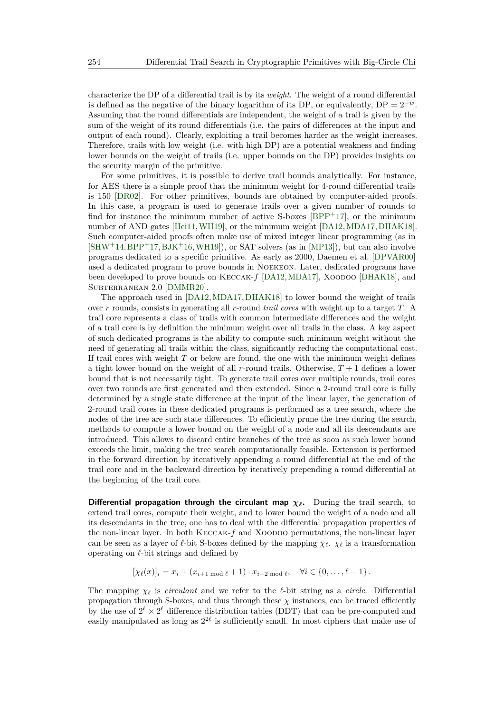characterize the DP of a differential trail is by its *weight*. The weight of a round differential is defined as the negative of the binary logarithm of its DP, or equivalently, DP =  $2^{-w}$ . Assuming that the round differentials are independent, the weight of a trail is given by the sum of the weight of its round differentials (i.e. the pairs of differences at the input and output of each round). Clearly, exploiting a trail becomes harder as the weight increases. Therefore, trails with low weight (i.e. with high DP) are a potential weakness and finding lower bounds on the weight of trails (i.e. upper bounds on the DP) provides insights on the security margin of the primitive.

For some primitives, it is possible to derive trail bounds analytically. For instance, for AES there is a simple proof that the minimum weight for 4-round differential trails is 150 [\[DR02\]](#page-30-0). For other primitives, bounds are obtained by computer-aided proofs. In this case, a program is used to generate trails over a given number of rounds to find for instance the minimum number of active S-boxes  $[BPP+17]$  $[BPP+17]$ , or the minimum number of AND gates [\[Hei11,](#page-31-0)[WH19\]](#page-31-1), or the minimum weight [\[DA12,](#page-30-1)[MDA17,](#page-31-2)[DHAK18\]](#page-30-2). Such computer-aided proofs often make use of mixed integer linear programming (as in  $[SHW+14, BPP+17, BJK+16, WH19]$  $[SHW+14, BPP+17, BJK+16, WH19]$  $[SHW+14, BPP+17, BJK+16, WH19]$  $[SHW+14, BPP+17, BJK+16, WH19]$  $[SHW+14, BPP+17, BJK+16, WH19]$  $[SHW+14, BPP+17, BJK+16, WH19]$  $[SHW+14, BPP+17, BJK+16, WH19]$ , or SAT solvers (as in  $[MP13]$ ), but can also involve programs dedicated to a specific primitive. As early as 2000, Daemen et al. [\[DPVAR00\]](#page-30-3) used a dedicated program to prove bounds in Noekeon. Later, dedicated programs have been developed to prove bounds on Keccak-*f* [\[DA12,](#page-30-1)[MDA17\]](#page-31-2), Xoodoo [\[DHAK18\]](#page-30-2), and Subterranean 2.0 [\[DMMR20\]](#page-30-4).

The approach used in [\[DA12,](#page-30-1)[MDA17,](#page-31-2)[DHAK18\]](#page-30-2) to lower bound the weight of trails over *r* rounds, consists in generating all *r*-round *trail cores* with weight up to a target *T*. A trail core represents a class of trails with common intermediate differences and the weight of a trail core is by definition the minimum weight over all trails in the class. A key aspect of such dedicated programs is the ability to compute such minimum weight without the need of generating all trails within the class, significantly reducing the computational cost. If trail cores with weight *T* or below are found, the one with the minimum weight defines a tight lower bound on the weight of all *r*-round trails. Otherwise, *T* + 1 defines a lower bound that is not necessarily tight. To generate trail cores over multiple rounds, trail cores over two rounds are first generated and then extended. Since a 2-round trail core is fully determined by a single state difference at the input of the linear layer, the generation of 2-round trail cores in these dedicated programs is performed as a tree search, where the nodes of the tree are such state differences. To efficiently prune the tree during the search, methods to compute a lower bound on the weight of a node and all its descendants are introduced. This allows to discard entire branches of the tree as soon as such lower bound exceeds the limit, making the tree search computationally feasible. Extension is performed in the forward direction by iteratively appending a round differential at the end of the trail core and in the backward direction by iteratively prepending a round differential at the beginning of the trail core.

**Differential propagation through the circulant map**  $\chi$ **<sup>** $\ell$ **</sup>. During the trail search, to** extend trail cores, compute their weight, and to lower bound the weight of a node and all its descendants in the tree, one has to deal with the differential propagation properties of the non-linear layer. In both KECCAK- $f$  and XOODOO permutations, the non-linear layer can be seen as a layer of  $\ell$ -bit S-boxes defined by the mapping  $\chi_{\ell}$ .  $\chi_{\ell}$  is a transformation operating on  $\ell$ -bit strings and defined by

$$
[\chi_{\ell}(x)]_i = x_i + (x_{i+1} \mod \ell + 1) \cdot x_{i+2} \mod \ell, \quad \forall i \in \{0, \ldots, \ell-1\}.
$$

The mapping  $\chi_{\ell}$  is *circulant* and we refer to the  $\ell$ -bit string as a *circle*. Differential propagation through S-boxes, and thus through these  $\chi$  instances, can be traced efficiently by the use of  $2^{\ell} \times 2^{\ell}$  difference distribution tables (DDT) that can be pre-computed and easily manipulated as long as  $2^{2\ell}$  is sufficiently small. In most ciphers that make use of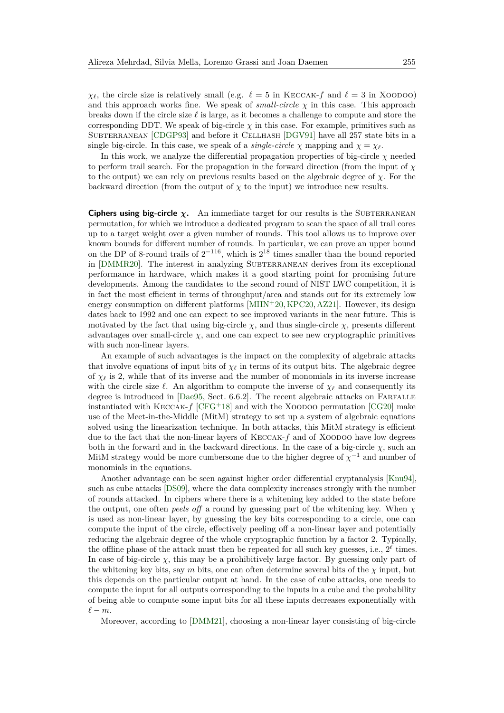$\chi_{\ell}$ , the circle size is relatively small (e.g.  $\ell = 5$  in KECCAK-*f* and  $\ell = 3$  in XOODOO) and this approach works fine. We speak of *small-circle*  $\chi$  in this case. This approach breaks down if the circle size  $\ell$  is large, as it becomes a challenge to compute and store the corresponding DDT. We speak of big-circle  $\chi$  in this case. For example, primitives such as SUBTERRANEAN [\[CDGP93\]](#page-30-5) and before it CELLHASH [\[DGV91\]](#page-30-6) have all 257 state bits in a single big-circle. In this case, we speak of a *single-circle*  $\chi$  mapping and  $\chi = \chi_{\ell}$ .

In this work, we analyze the differential propagation properties of big-circle  $\chi$  needed to perform trail search. For the propagation in the forward direction (from the input of *χ* to the output) we can rely on previous results based on the algebraic degree of *χ*. For the backward direction (from the output of  $\chi$  to the input) we introduce new results.

**Ciphers using big-circle**  $\chi$ . An immediate target for our results is the SUBTERRANEAN permutation, for which we introduce a dedicated program to scan the space of all trail cores up to a target weight over a given number of rounds. This tool allows us to improve over known bounds for different number of rounds. In particular, we can prove an upper bound on the DP of 8-round trails of  $2^{-116}$ , which is  $2^{18}$  times smaller than the bound reported in [\[DMMR20\]](#page-30-4). The interest in analyzing SUBTERRANEAN derives from its exceptional performance in hardware, which makes it a good starting point for promising future developments. Among the candidates to the second round of NIST LWC competition, it is in fact the most efficient in terms of throughput/area and stands out for its extremely low energy consumption on different platforms  $[MHN+20, KPC20, AZ21]$  $[MHN+20, KPC20, AZ21]$  $[MHN+20, KPC20, AZ21]$  $[MHN+20, KPC20, AZ21]$  $[MHN+20, KPC20, AZ21]$ . However, its design dates back to 1992 and one can expect to see improved variants in the near future. This is motivated by the fact that using big-circle  $\chi$ , and thus single-circle  $\chi$ , presents different advantages over small-circle  $\chi$ , and one can expect to see new cryptographic primitives with such non-linear layers.

An example of such advantages is the impact on the complexity of algebraic attacks that involve equations of input bits of  $\chi_{\ell}$  in terms of its output bits. The algebraic degree of  $\chi_{\ell}$  is 2, while that of its inverse and the number of monomials in its inverse increase with the circle size  $\ell$ . An algorithm to compute the inverse of  $\chi_{\ell}$  and consequently its degree is introduced in [\[Dae95,](#page-30-7) Sect. 6.6.2]. The recent algebraic attacks on FARFALLE instantiated with KECCAK- $f$  [\[CFG](#page-30-8)<sup>+</sup>18] and with the XOODOO permutation [\[CG20\]](#page-30-9) make use of the Meet-in-the-Middle (MitM) strategy to set up a system of algebraic equations solved using the linearization technique. In both attacks, this MitM strategy is efficient due to the fact that the non-linear layers of KECCAK- $f$  and of XOODOO have low degrees both in the forward and in the backward directions. In the case of a big-circle  $\chi$ , such an MitM strategy would be more cumbersome due to the higher degree of  $\chi^{-1}$  and number of monomials in the equations.

Another advantage can be seen against higher order differential cryptanalysis [\[Knu94\]](#page-31-7), such as cube attacks [\[DS09\]](#page-30-10), where the data complexity increases strongly with the number of rounds attacked. In ciphers where there is a whitening key added to the state before the output, one often *peels off* a round by guessing part of the whitening key. When *χ* is used as non-linear layer, by guessing the key bits corresponding to a circle, one can compute the input of the circle, effectively peeling off a non-linear layer and potentially reducing the algebraic degree of the whole cryptographic function by a factor 2. Typically, the offline phase of the attack must then be repeated for all such key guesses, i.e.,  $2^{\ell}$  times. In case of big-circle  $\chi$ , this may be a prohibitively large factor. By guessing only part of the whitening key bits, say *m* bits, one can often determine several bits of the  $\chi$  input, but this depends on the particular output at hand. In the case of cube attacks, one needs to compute the input for all outputs corresponding to the inputs in a cube and the probability of being able to compute some input bits for all these inputs decreases exponentially with  $\ell - m$ .

Moreover, according to [\[DMM21\]](#page-30-11), choosing a non-linear layer consisting of big-circle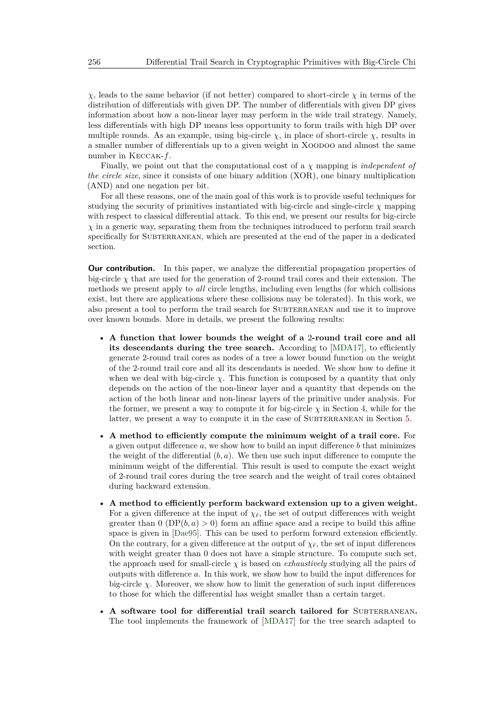*χ*, leads to the same behavior (if not better) compared to short-circle *χ* in terms of the distribution of differentials with given DP. The number of differentials with given DP gives information about how a non-linear layer may perform in the wide trail strategy. Namely, less differentials with high DP means less opportunity to form trails with high DP over multiple rounds. As an example, using big-circle  $\chi$ , in place of short-circle  $\chi$ , results in a smaller number of differentials up to a given weight in Xoodoo and almost the same number in Keccak-*f*.

Finally, we point out that the computational cost of a *χ* mapping is *independent of the circle size*, since it consists of one binary addition (XOR), one binary multiplication (AND) and one negation per bit.

For all these reasons, one of the main goal of this work is to provide useful techniques for studying the security of primitives instantiated with big-circle and single-circle  $\chi$  mapping with respect to classical differential attack. To this end, we present our results for big-circle *χ* in a generic way, separating them from the techniques introduced to perform trail search specifically for SUBTERRANEAN, which are presented at the end of the paper in a dedicated section.

**Our contribution.** In this paper, we analyze the differential propagation properties of big-circle  $\chi$  that are used for the generation of 2-round trail cores and their extension. The methods we present apply to *all* circle lengths, including even lengths (for which collisions exist, but there are applications where these collisions may be tolerated). In this work, we also present a tool to perform the trail search for SUBTERRANEAN and use it to improve over known bounds. More in details, we present the following results:

- **A function that lower bounds the weight of a** 2**-round trail core and all its descendants during the tree search.** According to [\[MDA17\]](#page-31-2), to efficiently generate 2-round trail cores as nodes of a tree a lower bound function on the weight of the 2-round trail core and all its descendants is needed. We show how to define it when we deal with big-circle  $\chi$ . This function is composed by a quantity that only depends on the action of the non-linear layer and a quantity that depends on the action of the both linear and non-linear layers of the primitive under analysis. For the former, we present a way to compute it for big-circle  $\chi$  in Section [4,](#page-13-0) while for the latter, we present a way to compute it in the case of SUBTERRANEAN in Section [5.](#page-22-0)
- **A method to efficiently compute the minimum weight of a trail core.** For a given output difference *a*, we show how to build an input difference *b* that minimizes the weight of the differential  $(b, a)$ . We then use such input difference to compute the minimum weight of the differential. This result is used to compute the exact weight of 2-round trail cores during the tree search and the weight of trail cores obtained during backward extension.
- **A method to efficiently perform backward extension up to a given weight.** For a given difference at the input of  $\chi_{\ell}$ , the set of output differences with weight greater than  $0 (DP(b, a) > 0)$  form an affine space and a recipe to build this affine space is given in [\[Dae95\]](#page-30-7). This can be used to perform forward extension efficiently. On the contrary, for a given difference at the output of  $\chi_{\ell}$ , the set of input differences with weight greater than 0 does not have a simple structure. To compute such set, the approach used for small-circle  $\chi$  is based on *exhaustively* studying all the pairs of outputs with difference *a*. In this work, we show how to build the input differences for big-circle  $\chi$ . Moreover, we show how to limit the generation of such input differences to those for which the differential has weight smaller than a certain target.
- A software tool for differential trail search tailored for SUBTERRANEAN. The tool implements the framework of [\[MDA17\]](#page-31-2) for the tree search adapted to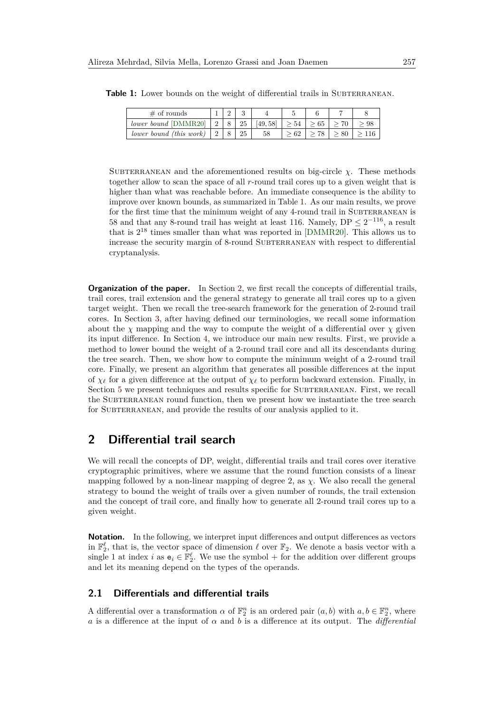| $\#$ of rounds          |   | ∠ | υ  |         |    |    |  |
|-------------------------|---|---|----|---------|----|----|--|
| lower bound [DMMR20]    | ∠ |   | 25 | [49,58] | 54 | 65 |  |
| lower bound (this work) |   |   | 25 |         |    |    |  |

<span id="page-4-0"></span>Table 1: Lower bounds on the weight of differential trails in SUBTERRANEAN.

SUBTERRANEAN and the aforementioned results on big-circle  $\chi$ . These methods together allow to scan the space of all *r*-round trail cores up to a given weight that is higher than what was reachable before. An immediate consequence is the ability to improve over known bounds, as summarized in Table [1.](#page-4-0) As our main results, we prove for the first time that the minimum weight of any 4-round trail in SUBTERRANEAN is 58 and that any 8-round trail has weight at least 116. Namely,  $DP \leq 2^{-116}$ , a result that is  $2^{18}$  times smaller than what was reported in [\[DMMR20\]](#page-30-4). This allows us to increase the security margin of 8-round SUBTERRANEAN with respect to differential cryptanalysis.

**Organization of the paper.** In Section [2,](#page-4-1) we first recall the concepts of differential trails, trail cores, trail extension and the general strategy to generate all trail cores up to a given target weight. Then we recall the tree-search framework for the generation of 2-round trail cores. In Section [3,](#page-9-0) after having defined our terminologies, we recall some information about the  $\chi$  mapping and the way to compute the weight of a differential over  $\chi$  given its input difference. In Section [4,](#page-13-0) we introduce our main new results. First, we provide a method to lower bound the weight of a 2-round trail core and all its descendants during the tree search. Then, we show how to compute the minimum weight of a 2-round trail core. Finally, we present an algorithm that generates all possible differences at the input of  $\chi_\ell$  for a given difference at the output of  $\chi_\ell$  to perform backward extension. Finally, in Section [5](#page-22-0) we present techniques and results specific for SUBTERRANEAN. First, we recall the SUBTERRANEAN round function, then we present how we instantiate the tree search for SUBTERRANEAN, and provide the results of our analysis applied to it.

## <span id="page-4-1"></span>**2 Differential trail search**

We will recall the concepts of DP, weight, differential trails and trail cores over iterative cryptographic primitives, where we assume that the round function consists of a linear mapping followed by a non-linear mapping of degree 2, as  $\chi$ . We also recall the general strategy to bound the weight of trails over a given number of rounds, the trail extension and the concept of trail core, and finally how to generate all 2-round trail cores up to a given weight.

**Notation.** In the following, we interpret input differences and output differences as vectors in  $\mathbb{F}_2^{\ell}$ , that is, the vector space of dimension  $\ell$  over  $\mathbb{F}_2$ . We denote a basis vector with a single 1 at index *i* as  $e_i \in \mathbb{F}_2^{\ell}$ . We use the symbol + for the addition over different groups and let its meaning depend on the types of the operands.

### **2.1 Differentials and differential trails**

A differential over a transformation  $\alpha$  of  $\mathbb{F}_2^n$  is an ordered pair  $(a, b)$  with  $a, b \in \mathbb{F}_2^n$ , where *a* is a difference at the input of *α* and *b* is a difference at its output. The *differential*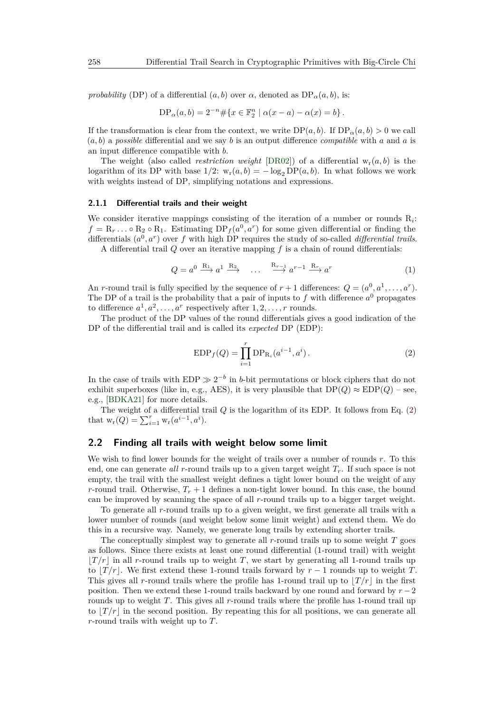*probability* (DP) of a differential  $(a, b)$  over  $\alpha$ , denoted as  $DP_{\alpha}(a, b)$ , is:

$$
DP_{\alpha}(a, b) = 2^{-n} \# \{ x \in \mathbb{F}_2^n \mid \alpha(x - a) - \alpha(x) = b \}.
$$

If the transformation is clear from the context, we write  $DP(a, b)$ . If  $DP_{\alpha}(a, b) > 0$  we call (*a, b*) a *possible* differential and we say *b* is an output difference *compatible* with *a* and *a* is an input difference compatible with *b*.

The weight (also called *restriction weight* [\[DR02\]](#page-30-0)) of a differential  $w_r(a, b)$  is the logarithm of its DP with base  $1/2$ :  $w_r(a, b) = -\log_2 DP(a, b)$ . In what follows we work with weights instead of DP, simplifying notations and expressions.

#### **2.1.1 Differential trails and their weight**

We consider iterative mappings consisting of the iteration of a number or rounds  $R_i$ :  $f = R_r \dots \circ R_2 \circ R_1$ . Estimating  $DP_f(a^0, a^r)$  for some given differential or finding the differentials  $(a^0, a^r)$  over f with high DP requires the study of so-called *differential trails*.

A differential trail *Q* over an iterative mapping *f* is a chain of round differentials:

$$
Q = a^0 \xrightarrow{R_1} a^1 \xrightarrow{R_2} \dots \xrightarrow{R_{r-1}} a^{r-1} \xrightarrow{R_r} a^r
$$
 (1)

An *r*-round trail is fully specified by the sequence of  $r + 1$  differences:  $Q = (a^0, a^1, \ldots, a^r)$ . The DP of a trail is the probability that a pair of inputs to  $f$  with difference  $a^0$  propagates to difference  $a^1, a^2, \ldots, a^r$  respectively after  $1, 2, \ldots, r$  rounds.

The product of the DP values of the round differentials gives a good indication of the DP of the differential trail and is called its *expected* DP (EDP):

<span id="page-5-0"></span>EDP<sub>f</sub>(Q) = 
$$
\prod_{i=1}^{r}
$$
 DP<sub>R<sub>i</sub></sub>(a<sup>i-1</sup>, a<sup>i</sup>). (2)

In the case of trails with  $EDP \gg 2^{-b}$  in *b*-bit permutations or block ciphers that do not exhibit superboxes (like in, e.g., AES), it is very plausible that  $DP(Q) \approx EDP(Q)$  – see, e.g., [\[BDKA21\]](#page-29-5) for more details.

The weight of a differential trail *Q* is the logarithm of its EDP. It follows from Eq. [\(2\)](#page-5-0) that  $w_r(Q) = \sum_{i=1}^r w_r(a^{i-1}, a^i)$ .

#### <span id="page-5-1"></span>**2.2 Finding all trails with weight below some limit**

We wish to find lower bounds for the weight of trails over a number of rounds *r*. To this end, one can generate *all r*-round trails up to a given target weight *Tr*. If such space is not empty, the trail with the smallest weight defines a tight lower bound on the weight of any *r*-round trail. Otherwise,  $T_r + 1$  defines a non-tight lower bound. In this case, the bound can be improved by scanning the space of all *r*-round trails up to a bigger target weight.

To generate all *r*-round trails up to a given weight, we first generate all trails with a lower number of rounds (and weight below some limit weight) and extend them. We do this in a recursive way. Namely, we generate long trails by extending shorter trails.

The conceptually simplest way to generate all *r*-round trails up to some weight *T* goes as follows. Since there exists at least one round differential (1-round trail) with weight  $|T/r|$  in all *r*-round trails up to weight *T*, we start by generating all 1-round trails up to  $|T/r|$ . We first extend these 1-round trails forward by  $r-1$  rounds up to weight *T*. This gives all *r*-round trails where the profile has 1-round trail up to  $|T/r|$  in the first position. Then we extend these 1-round trails backward by one round and forward by *r* −2 rounds up to weight *T*. This gives all *r*-round trails where the profile has 1-round trail up to  $|T/r|$  in the second position. By repeating this for all positions, we can generate all *r*-round trails with weight up to *T*.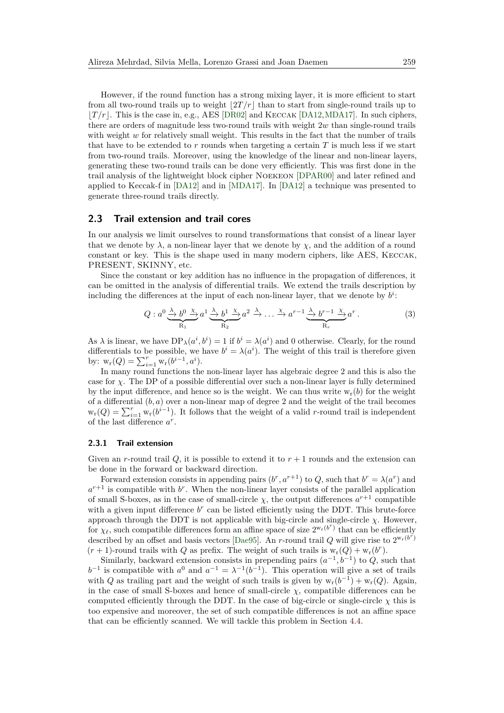However, if the round function has a strong mixing layer, it is more efficient to start from all two-round trails up to weight  $|2T/r|$  than to start from single-round trails up to  $|T/r|$ . This is the case in, e.g., AES [\[DR02\]](#page-30-0) and KECCAK [\[DA12,](#page-30-1) [MDA17\]](#page-31-2). In such ciphers, there are orders of magnitude less two-round trails with weight 2*w* than single-round trails with weight *w* for relatively small weight. This results in the fact that the number of trails that have to be extended to *r* rounds when targeting a certain *T* is much less if we start from two-round trails. Moreover, using the knowledge of the linear and non-linear layers, generating these two-round trails can be done very efficiently. This was first done in the trail analysis of the lightweight block cipher Noekeon [\[DPAR00\]](#page-30-12) and later refined and applied to Keccak-f in [\[DA12\]](#page-30-1) and in [\[MDA17\]](#page-31-2). In [\[DA12\]](#page-30-1) a technique was presented to generate three-round trails directly.

### **2.3 Trail extension and trail cores**

In our analysis we limit ourselves to round transformations that consist of a linear layer that we denote by  $\lambda$ , a non-linear layer that we denote by  $\chi$ , and the addition of a round constant or key. This is the shape used in many modern ciphers, like AES, Keccak, PRESENT, SKINNY, etc.

Since the constant or key addition has no influence in the propagation of differences, it can be omitted in the analysis of differential trails. We extend the trails description by including the differences at the input of each non-linear layer, that we denote by  $b^i$ :

$$
Q: a^0 \xrightarrow{\lambda} b^0 \xrightarrow{\chi} a^1 \xrightarrow{\lambda} b^1 \xrightarrow{\chi} a^2 \xrightarrow{\lambda} \dots \xrightarrow{\chi} a^{r-1} \xrightarrow{\lambda} b^{r-1} \xrightarrow{\chi} a^r.
$$
 (3)

As  $\lambda$  is linear, we have  $DP_{\lambda}(a^i, b^i) = 1$  if  $b^i = \lambda(a^i)$  and 0 otherwise. Clearly, for the round differentials to be possible, we have  $b^i = \lambda(a^i)$ . The weight of this trail is therefore given by:  $w_r(Q) = \sum_{i=1}^r w_r(b^{i-1}, a^i)$ .

In many round functions the non-linear layer has algebraic degree 2 and this is also the case for  $\chi$ . The DP of a possible differential over such a non-linear layer is fully determined by the input difference, and hence so is the weight. We can thus write  $w_r(b)$  for the weight of a differential (*b, a*) over a non-linear map of degree 2 and the weight of the trail becomes  $w_r(Q) = \sum_{i=1}^r w_r(b^{i-1})$ . It follows that the weight of a valid *r*-round trail is independent of the last difference *a r* .

#### **2.3.1 Trail extension**

Given an *r*-round trail *Q*, it is possible to extend it to  $r + 1$  rounds and the extension can be done in the forward or backward direction.

Forward extension consists in appending pairs  $(b^r, a^{r+1})$  to  $Q$ , such that  $b^r = \lambda(a^r)$  and  $a^{r+1}$  is compatible with  $b^r$ . When the non-linear layer consists of the parallel application of small S-boxes, as in the case of small-circle  $\chi$ , the output differences  $a^{r+1}$  compatible with a given input difference  $b<sup>r</sup>$  can be listed efficiently using the DDT. This brute-force approach through the DDT is not applicable with big-circle and single-circle  $\chi$ . However, for  $\chi_{\ell}$ , such compatible differences form an affine space of size  $2^{w_r(b^r)}$  that can be efficiently described by an offset and basis vectors [\[Dae95\]](#page-30-7). An *r*-round trail Q will give rise to  $2^{w_r(b^r)}$  $(r + 1)$ -round trails with *Q* as prefix. The weight of such trails is  $w_r(Q) + w_r(b^r)$ .

Similarly, backward extension consists in prepending pairs  $(a^{-1}, b^{-1})$  to *Q*, such that  $b^{-1}$  is compatible with  $a^0$  and  $a^{-1} = \lambda^{-1}(b^{-1})$ . This operation will give a set of trails with *Q* as trailing part and the weight of such trails is given by  $w_r(b^{-1}) + w_r(Q)$ . Again, in the case of small S-boxes and hence of small-circle  $\chi$ , compatible differences can be computed efficiently through the DDT. In the case of big-circle or single-circle  $\chi$  this is too expensive and moreover, the set of such compatible differences is not an affine space that can be efficiently scanned. We will tackle this problem in Section [4.4.](#page-21-0)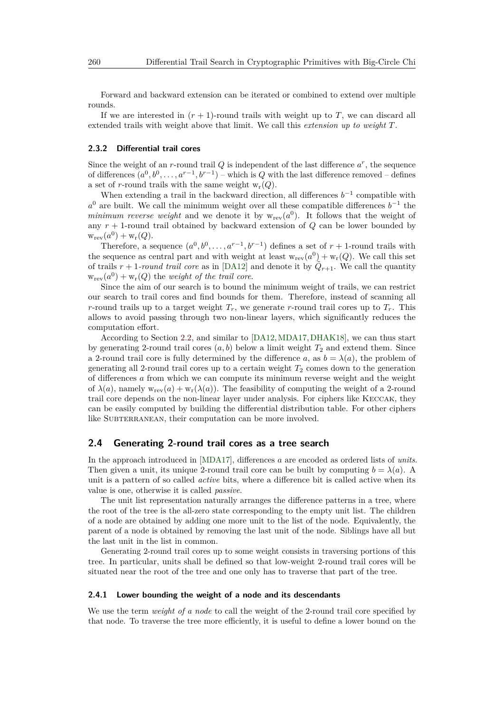Forward and backward extension can be iterated or combined to extend over multiple rounds.

If we are interested in  $(r + 1)$ -round trails with weight up to *T*, we can discard all extended trails with weight above that limit. We call this *extension up to weight T*.

#### **2.3.2 Differential trail cores**

Since the weight of an  $r$ -round trail  $Q$  is independent of the last difference  $a^r$ , the sequence of differences  $(a^0, b^0, \ldots, a^{r-1}, b^{r-1})$  – which is *Q* with the last difference removed – defines a set of *r*-round trails with the same weight  $w_r(Q)$ .

When extending a trail in the backward direction, all differences  $b^{-1}$  compatible with  $a^0$  are built. We call the minimum weight over all these compatible differences  $b^{-1}$  the *minimum reverse weight* and we denote it by  $w_{rev}(a^0)$ . It follows that the weight of any *r* + 1-round trail obtained by backward extension of *Q* can be lower bounded by  $w_{rev}(a^0) + w_r(Q)$ .

Therefore, a sequence  $(a^0, b^0, \ldots, a^{r-1}, b^{r-1})$  defines a set of  $r + 1$ -round trails with the sequence as central part and with weight at least  $w_{rev}(a^0) + w_r(Q)$ . We call this set of trails  $r + 1$ -round trail core as in [\[DA12\]](#page-30-1) and denote it by  $\tilde{Q}_{r+1}$ . We call the quantity  $w_{rev}(a^0) + w_r(Q)$  the *weight of the trail core*.

Since the aim of our search is to bound the minimum weight of trails, we can restrict our search to trail cores and find bounds for them. Therefore, instead of scanning all *r*-round trails up to a target weight  $T_r$ , we generate *r*-round trail cores up to  $T_r$ . This allows to avoid passing through two non-linear layers, which significantly reduces the computation effort.

According to Section [2.2,](#page-5-1) and similar to [\[DA12,](#page-30-1)[MDA17,](#page-31-2)[DHAK18\]](#page-30-2), we can thus start by generating 2-round trail cores  $(a, b)$  below a limit weight  $T_2$  and extend them. Since a 2-round trail core is fully determined by the difference *a*, as  $b = \lambda(a)$ , the problem of generating all 2-round trail cores up to a certain weight  $T_2$  comes down to the generation of differences *a* from which we can compute its minimum reverse weight and the weight of  $\lambda(a)$ , namely  $w_{rev}(a) + w_r(\lambda(a))$ . The feasibility of computing the weight of a 2-round trail core depends on the non-linear layer under analysis. For ciphers like Keccak, they can be easily computed by building the differential distribution table. For other ciphers like SUBTERRANEAN, their computation can be more involved.

## **2.4 Generating 2-round trail cores as a tree search**

In the approach introduced in [\[MDA17\]](#page-31-2), differences *a* are encoded as ordered lists of *units*. Then given a unit, its unique 2-round trail core can be built by computing  $b = \lambda(a)$ . A unit is a pattern of so called *active* bits, where a difference bit is called active when its value is one, otherwise it is called *passive*.

The unit list representation naturally arranges the difference patterns in a tree, where the root of the tree is the all-zero state corresponding to the empty unit list. The children of a node are obtained by adding one more unit to the list of the node. Equivalently, the parent of a node is obtained by removing the last unit of the node. Siblings have all but the last unit in the list in common.

Generating 2-round trail cores up to some weight consists in traversing portions of this tree. In particular, units shall be defined so that low-weight 2-round trail cores will be situated near the root of the tree and one only has to traverse that part of the tree.

#### **2.4.1 Lower bounding the weight of a node and its descendants**

We use the term *weight of a node* to call the weight of the 2-round trail core specified by that node. To traverse the tree more efficiently, it is useful to define a lower bound on the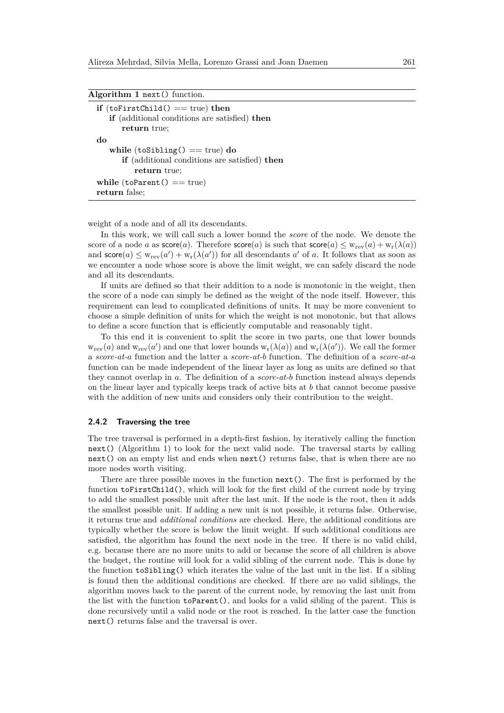<span id="page-8-0"></span>

| Algorithm 1 next() function.                  |  |
|-----------------------------------------------|--|
| if $(t$ oFirstChild $() == true)$ then        |  |
| if (additional conditions are satisfied) then |  |
| return true:                                  |  |
| do                                            |  |
| while $(t$ oSibling $() == true)$ do          |  |

| $\cdots$ ===== $\cdots$ $\cdots$ $\cdots$ $\cdots$ $\cdots$ $\cdots$ $\cdots$ $\cdots$ |  |
|----------------------------------------------------------------------------------------|--|
| <b>if</b> (additional conditions are satisfied) <b>then</b>                            |  |
| return true:                                                                           |  |
| while $(toParent() == true)$                                                           |  |
| return false;                                                                          |  |

weight of a node and of all its descendants.

In this work, we will call such a lower bound the *score* of the node. We denote the score of a node *a* as  $score(a)$ . Therefore  $score(a)$  is such that  $score(a) \leq w_{rev}(a) + w_r(\lambda(a))$ and  $score(a) \leq w_{rev}(a') + w_r(\lambda(a'))$  for all descendants *a'* of *a*. It follows that as soon as we encounter a node whose score is above the limit weight, we can safely discard the node and all its descendants.

If units are defined so that their addition to a node is monotonic in the weight, then the score of a node can simply be defined as the weight of the node itself. However, this requirement can lead to complicated definitions of units. It may be more convenient to choose a simple definition of units for which the weight is not monotonic, but that allows to define a score function that is efficiently computable and reasonably tight.

To this end it is convenient to split the score in two parts, one that lower bounds  $w_{rev}(a)$  and  $w_{rev}(a')$  and one that lower bounds  $w_{r}(\lambda(a))$  and  $w_{r}(\lambda(a'))$ . We call the former a *score-at-a* function and the latter a *score-at-b* function. The definition of a *score-at-a* function can be made independent of the linear layer as long as units are defined so that they cannot overlap in *a*. The definition of a *score-at-b* function instead always depends on the linear layer and typically keeps track of active bits at *b* that cannot become passive with the addition of new units and considers only their contribution to the weight.

#### <span id="page-8-1"></span>**2.4.2 Traversing the tree**

The tree traversal is performed in a depth-first fashion, by iteratively calling the function next() (Algorithm [1\)](#page-8-0) to look for the next valid node. The traversal starts by calling next() on an empty list and ends when next() returns false, that is when there are no more nodes worth visiting.

There are three possible moves in the function next(). The first is performed by the function toFirstChild(), which will look for the first child of the current node by trying to add the smallest possible unit after the last unit. If the node is the root, then it adds the smallest possible unit. If adding a new unit is not possible, it returns false. Otherwise, it returns true and *additional conditions* are checked. Here, the additional conditions are typically whether the score is below the limit weight. If such additional conditions are satisfied, the algorithm has found the next node in the tree. If there is no valid child, e.g. because there are no more units to add or because the score of all children is above the budget, the routine will look for a valid sibling of the current node. This is done by the function toSibling() which iterates the value of the last unit in the list. If a sibling is found then the additional conditions are checked. If there are no valid siblings, the algorithm moves back to the parent of the current node, by removing the last unit from the list with the function toParent(), and looks for a valid sibling of the parent. This is done recursively until a valid node or the root is reached. In the latter case the function next() returns false and the traversal is over.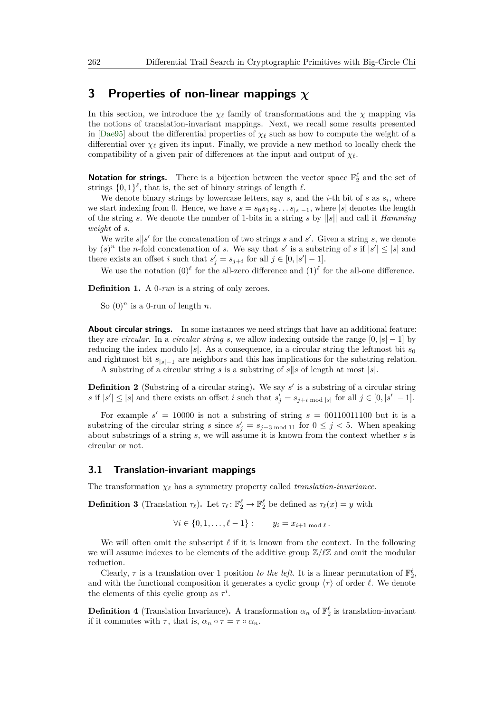## <span id="page-9-0"></span>**3 Properties of non-linear mappings** *χ*

In this section, we introduce the  $\chi_{\ell}$  family of transformations and the  $\chi$  mapping via the notions of translation-invariant mappings. Next, we recall some results presented in [\[Dae95\]](#page-30-7) about the differential properties of  $\chi_{\ell}$  such as how to compute the weight of a differential over  $\chi_\ell$  given its input. Finally, we provide a new method to locally check the compatibility of a given pair of differences at the input and output of  $\chi_{\ell}$ .

**Notation for strings.** There is a bijection between the vector space  $\mathbb{F}_2^{\ell}$  and the set of strings  $\{0,1\}^{\ell}$ , that is, the set of binary strings of length  $\ell$ .

We denote binary strings by lowercase letters, say  $s$ , and the  $i$ -th bit of  $s$  as  $s_i$ , where we start indexing from 0. Hence, we have  $s = s_0 s_1 s_2 \dots s_{|s|-1}$ , where  $|s|$  denotes the length of the string *s*. We denote the number of 1-bits in a string *s* by ||*s*|| and call it *Hamming weight* of *s*.

We write  $s||s'$  for the concatenation of two strings  $s$  and  $s'$ . Given a string  $s$ , we denote by  $(s)^n$  the *n*-fold concatenation of *s*. We say that *s*' is a substring of *s* if  $|s'| \leq |s|$  and there exists an offset *i* such that  $s'_j = s_{j+i}$  for all  $j \in [0, |s'|-1]$ .

We use the notation  $(0)^\ell$  for the all-zero difference and  $(1)^\ell$  for the all-one difference.

**Definition 1.** A 0*-run* is a string of only zeroes.

So  $(0)^n$  is a 0-run of length *n*.

**About circular strings.** In some instances we need strings that have an additional feature: they are *circular*. In a *circular string s*, we allow indexing outside the range  $[0, |s| - 1]$  by reducing the index modulo  $|s|$ . As a consequence, in a circular string the leftmost bit  $s_0$ and rightmost bit  $s_{|s|=1}$  are neighbors and this has implications for the substring relation.

A substring of a circular string *s* is a substring of  $s||s$  of length at most  $|s|$ .

**Definition 2** (Substring of a circular string). We say  $s'$  is a substring of a circular string *s* if  $|s'| \leq |s|$  and there exists an offset *i* such that  $s'_j = s_{j+i \text{ mod } |s|}$  for all  $j \in [0, |s'| - 1]$ .

For example  $s' = 10000$  is not a substring of string  $s = 00110011100$  but it is a substring of the circular string *s* since  $s'_j = s_{j-3 \text{ mod } 11}$  for  $0 \leq j < 5$ . When speaking about substrings of a string *s*, we will assume it is known from the context whether *s* is circular or not.

### **3.1 Translation-invariant mappings**

The transformation  $\chi_{\ell}$  has a symmetry property called *translation-invariance*.

**Definition 3** (Translation  $\tau_{\ell}$ ). Let  $\tau_{\ell} : \mathbb{F}_2^{\ell} \to \mathbb{F}_2^{\ell}$  be defined as  $\tau_{\ell}(x) = y$  with

 $\forall i \in \{0, 1, \ldots, \ell - 1\} :$   $y_i = x_{i+1 \mod \ell}$ .

We will often omit the subscript  $\ell$  if it is known from the context. In the following we will assume indexes to be elements of the additive group  $\mathbb{Z}/\ell\mathbb{Z}$  and omit the modular reduction.

Clearly,  $\tau$  is a translation over 1 position *to the left*. It is a linear permutation of  $\mathbb{F}_2^{\ell}$ , and with the functional composition it generates a cyclic group  $\langle \tau \rangle$  of order  $\ell$ . We denote the elements of this cyclic group as  $\tau^i$ .

**Definition 4** (Translation Invariance). A transformation  $\alpha_n$  of  $\mathbb{F}_2^{\ell}$  is translation-invariant if it commutes with  $\tau$ , that is,  $\alpha_n \circ \tau = \tau \circ \alpha_n$ .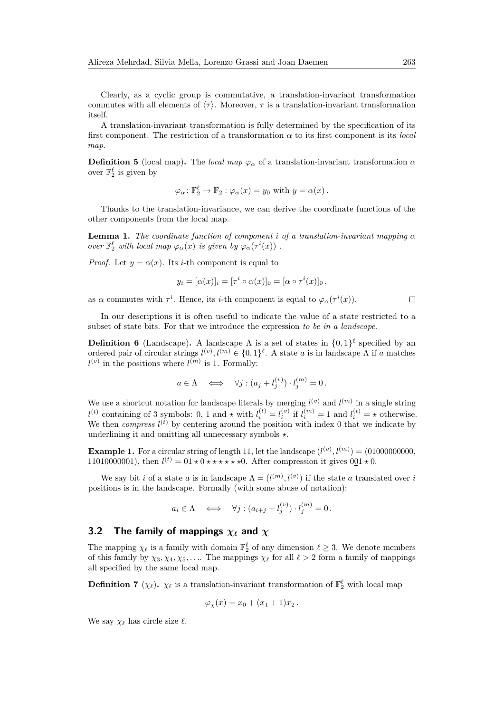Clearly, as a cyclic group is commutative, a translation-invariant transformation commutes with all elements of  $\langle \tau \rangle$ . Moreover,  $\tau$  is a translation-invariant transformation itself.

A translation-invariant transformation is fully determined by the specification of its first component. The restriction of a transformation  $\alpha$  to its first component is its *local map*.

**Definition 5** (local map). The *local map*  $\varphi_{\alpha}$  of a translation-invariant transformation  $\alpha$ over  $\mathbb{F}_2^{\ell}$  is given by

$$
\varphi_{\alpha} \colon \mathbb{F}_2^{\ell} \to \mathbb{F}_2 : \varphi_{\alpha}(x) = y_0 \text{ with } y = \alpha(x).
$$

Thanks to the translation-invariance, we can derive the coordinate functions of the other components from the local map.

**Lemma 1.** *The coordinate function of component i of a translation-invariant mapping*  $\alpha$ *over*  $\mathbb{F}_2^{\ell}$  *with local map*  $\varphi_{\alpha}(x)$  *is given by*  $\varphi_{\alpha}(\tau^{i}(x))$ .

*Proof.* Let  $y = \alpha(x)$ . Its *i*-th component is equal to

$$
y_i = [\alpha(x)]_i = [\tau^i \circ \alpha(x)]_0 = [\alpha \circ \tau^i(x)]_0,
$$

as *α* commutes with  $\tau^i$ . Hence, its *i*-th component is equal to  $\varphi_\alpha(\tau^i(x))$ .

In our descriptions it is often useful to indicate the value of a state restricted to a subset of state bits. For that we introduce the expression *to be in a landscape*.

**Definition 6** (Landscape). A landscape  $\Lambda$  is a set of states in  $\{0,1\}^{\ell}$  specified by an ordered pair of circular strings  $l^{(v)}, l^{(m)} \in \{0,1\}^{\ell}$ . A state *a* is in landscape  $\Lambda$  if *a* matches  $l^{(v)}$  in the positions where  $l^{(m)}$  is 1. Formally:

$$
a \in \Lambda \iff \forall j : (a_j + l_j^{(v)}) \cdot l_j^{(m)} = 0.
$$

We use a shortcut notation for landscape literals by merging  $l^{(v)}$  and  $l^{(m)}$  in a single string  $l^{(t)}$  containing of 3 symbols: 0, 1 and  $\star$  with  $l_i^{(t)} = l_i^{(v)}$  if  $l_i^{(m)} = 1$  and  $l_i^{(t)} = \star$  otherwise. We then *compress*  $l^{(t)}$  by centering around the position with index 0 that we indicate by underlining it and omitting all unnecessary symbols  $\star$ .

**Example 1.** For a circular string of length 11, let the landscape  $(l^{(v)}, l^{(m)}) = (01000000000,$ 11010000001), then  $l^{(t)} = 01 \star 0 \star \star \star \star \star 0$ . After compression it gives  $0 \underline{0} 1 \star 0$ .

We say bit *i* of a state *a* is in landscape  $\Lambda = (l^{(m)}, l^{(v)})$  if the state *a* translated over *i* positions is in the landscape. Formally (with some abuse of notation):

$$
a_i \in \Lambda \iff \forall j : (a_{i+j} + l_j^{(v)}) \cdot l_j^{(m)} = 0.
$$

## **3.2 The family of mappings** *χ`* **and** *χ*

The mapping  $\chi_{\ell}$  is a family with domain  $\mathbb{F}_2^{\ell}$  of any dimension  $\ell \geq 3$ . We denote members of this family by  $\chi_3, \chi_4, \chi_5, \ldots$  The mappings  $\chi_\ell$  for all  $\ell > 2$  form a family of mappings all specified by the same local map.

**Definition 7** ( $\chi_{\ell}$ ).  $\chi_{\ell}$  is a translation-invariant transformation of  $\mathbb{F}_2^{\ell}$  with local map

$$
\varphi_{\chi}(x) = x_0 + (x_1 + 1)x_2 \, .
$$

We say  $\chi_{\ell}$  has circle size  $\ell$ .

 $\Box$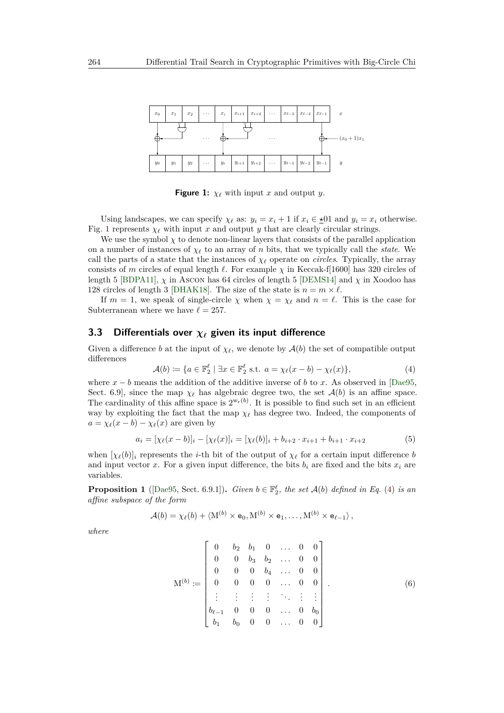<span id="page-11-0"></span>

**Figure 1:**  $\chi_{\ell}$  with input *x* and output *y*.

Using landscapes, we can specify  $\chi_{\ell}$  as:  $y_i = x_i + 1$  if  $x_i \in \pm 01$  and  $y_i = x_i$  otherwise. Fig. [1](#page-11-0) represents  $\chi_{\ell}$  with input *x* and output *y* that are clearly circular strings.

We use the symbol  $\chi$  to denote non-linear layers that consists of the parallel application on a number of instances of  $\chi_\ell$  to an array of *n* bits, that we typically call the *state*. We call the parts of a state that the instances of  $\chi_{\ell}$  operate on *circles*. Typically, the array consists of *m* circles of equal length  $\ell$ . For example  $\chi$  in Keccak-f[1600] has 320 circles of length 5 [\[BDPA11\]](#page-29-6),  $\chi$  in Ascon has 64 circles of length 5 [\[DEMS14\]](#page-30-13) and  $\chi$  in Xoodoo has 128 circles of length 3 [\[DHAK18\]](#page-30-2). The size of the state is  $n = m \times \ell$ .

If  $m = 1$ , we speak of single-circle  $\chi$  when  $\chi = \chi_{\ell}$  and  $n = \ell$ . This is the case for Subterranean where we have  $\ell = 257$ .

## **3.3 Differentials over** *χ`* **given its input difference**

Given a difference *b* at the input of  $\chi_{\ell}$ , we denote by  $\mathcal{A}(b)$  the set of compatible output differences

<span id="page-11-1"></span>
$$
\mathcal{A}(b) \coloneqq \{ a \in \mathbb{F}_2^\ell \mid \exists x \in \mathbb{F}_2^\ell \text{ s.t. } a = \chi_\ell(x - b) - \chi_\ell(x) \},\tag{4}
$$

where  $x - b$  means the addition of the additive inverse of *b* to *x*. As observed in [\[Dae95,](#page-30-7) Sect. 6.9], since the map  $\chi_{\ell}$  has algebraic degree two, the set  $\mathcal{A}(b)$  is an affine space. The cardinality of this affine space is  $2^{w_r(b)}$ . It is possible to find such set in an efficient way by exploiting the fact that the map  $\chi_\ell$  has degree two. Indeed, the components of  $a = \chi_{\ell}(x - b) - \chi_{\ell}(x)$  are given by

<span id="page-11-3"></span>
$$
a_i = [\chi_{\ell}(x - b)]_i - [\chi_{\ell}(x)]_i = [\chi_{\ell}(b)]_i + b_{i+2} \cdot x_{i+1} + b_{i+1} \cdot x_{i+2} \tag{5}
$$

when  $[\chi_{\ell}(b)]_i$  represents the *i*-th bit of the output of  $\chi_{\ell}$  for a certain input difference *b* and input vector x. For a given input difference, the bits  $b_i$  are fixed and the bits  $x_i$  are variables.

**Proposition 1** ([\[Dae95,](#page-30-7) Sect. 6.9.1]). *Given*  $b \in \mathbb{F}_2^{\ell}$ , the set  $\mathcal{A}(b)$  defined in Eq. [\(4\)](#page-11-1) is an *affine subspace of the form*

$$
\mathcal{A}(b) = \chi_{\ell}(b) + \langle M^{(b)} \times \mathbf{e}_0, M^{(b)} \times \mathbf{e}_1, \dots, M^{(b)} \times \mathbf{e}_{\ell-1} \rangle,
$$

*where*

<span id="page-11-2"></span>
$$
\mathbf{M}^{(b)} := \begin{bmatrix} 0 & b_2 & b_1 & 0 & \dots & 0 & 0 \\ 0 & 0 & b_3 & b_2 & \dots & 0 & 0 \\ 0 & 0 & 0 & b_4 & \dots & 0 & 0 \\ 0 & 0 & 0 & 0 & \dots & 0 & 0 \\ \vdots & \vdots & \vdots & \vdots & \ddots & \vdots & \vdots \\ b_{\ell-1} & 0 & 0 & 0 & \dots & 0 & b_0 \\ b_1 & b_0 & 0 & 0 & \dots & 0 & 0 \end{bmatrix} .
$$
 (6)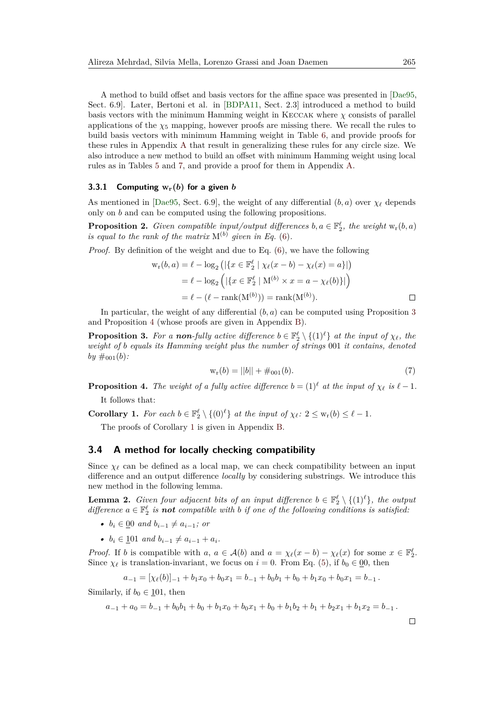A method to build offset and basis vectors for the affine space was presented in [\[Dae95,](#page-30-7) Sect. 6.9]. Later, Bertoni et al. in [\[BDPA11,](#page-29-6) Sect. 2.3] introduced a method to build basis vectors with the minimum Hamming weight in KECCAK where  $\chi$  consists of parallel applications of the  $\chi_5$  mapping, however proofs are missing there. We recall the rules to build basis vectors with minimum Hamming weight in Table [6,](#page-33-0) and provide proofs for these rules in Appendix [A](#page-31-8) that result in generalizing these rules for any circle size. We also introduce a new method to build an offset with minimum Hamming weight using local rules as in Tables [5](#page-33-1) and [7,](#page-34-0) and provide a proof for them in Appendix [A.](#page-31-8)

#### **3.3.1 Computing**  $w_r(b)$  for a given *b*

As mentioned in [\[Dae95,](#page-30-7) Sect. 6.9], the weight of any differential  $(b, a)$  over  $\chi_{\ell}$  depends only on *b* and can be computed using the following propositions.

**Proposition 2.** *Given compatible input/output differences*  $b, a \in \mathbb{F}_2^{\ell}$ , the weight  $w_r(b, a)$ *is equal to the rank of the matrix*  $M^{(b)}$  *given in Eq.* [\(6\)](#page-11-2).

*Proof.* By definition of the weight and due to Eq. [\(6\)](#page-11-2), we have the following

$$
w_r(b, a) = \ell - \log_2 (|\{x \in \mathbb{F}_2^{\ell} \mid \chi_{\ell}(x - b) - \chi_{\ell}(x) = a\}|)
$$
  
=  $\ell - \log_2 (|\{x \in \mathbb{F}_2^{\ell} \mid M^{(b)} \times x = a - \chi_{\ell}(b)\}|)$   
=  $\ell - (\ell - \text{rank}(M^{(b)})) = \text{rank}(M^{(b)}).$ 

In particular, the weight of any differential  $(b, a)$  can be computed using Proposition [3](#page-12-0) and Proposition [4](#page-12-1) (whose proofs are given in Appendix [B\)](#page-34-1).

<span id="page-12-0"></span>**Proposition 3.** For a *non-fully active difference*  $b \in \mathbb{F}_2^{\ell} \setminus \{(1)^{\ell}\}$  *at the input of*  $\chi_{\ell}$ *, the weight of b equals its Hamming weight plus the number of strings* 001 *it contains, denoted*  $by \#_{001}(b)$ :

$$
w_r(b) = ||b|| + \#_{001}(b). \tag{7}
$$

<span id="page-12-1"></span>**Proposition 4.** *The weight of a fully active difference*  $b = (1)^{\ell}$  *at the input of*  $\chi_{\ell}$  *is*  $\ell - 1$ *.* It follows that:

<span id="page-12-2"></span>**Corollary 1.** For each  $b \in \mathbb{F}_2^{\ell} \setminus \{(0)^{\ell}\}\$ at the input of  $\chi_{\ell}: 2 \leq w_r(b) \leq \ell - 1$ .

The proofs of Corollary [1](#page-12-2) is given in Appendix [B.](#page-34-1)

#### **3.4 A method for locally checking compatibility**

Since  $\chi_{\ell}$  can be defined as a local map, we can check compatibility between an input difference and an output difference *locally* by considering substrings. We introduce this new method in the following lemma.

<span id="page-12-3"></span>**Lemma 2.** *Given four adjacent bits of an input difference*  $b \in \mathbb{F}_2^{\ell} \setminus \{(1)^{\ell}\}\$ *, the output difference*  $a \in \mathbb{F}_2^{\ell}$  *is not compatible with b if one of the following conditions is satisfied:* 

- $b_i \in 00$  *and*  $b_{i-1} \neq a_{i-1}$ ; *or*
- $b_i \in \{101 \text{ and } b_{i-1} \neq a_{i-1} + a_i\}.$

*Proof.* If *b* is compatible with *a*,  $a \in \mathcal{A}(b)$  and  $a = \chi_{\ell}(x - b) - \chi_{\ell}(x)$  for some  $x \in \mathbb{F}_2^{\ell}$ . Since  $\chi_{\ell}$  is translation-invariant, we focus on  $i = 0$ . From Eq. [\(5\)](#page-11-3), if  $b_0 \in [0, 0]$ , then

$$
a_{-1} = [\chi_{\ell}(b)]_{-1} + b_1 x_0 + b_0 x_1 = b_{-1} + b_0 b_1 + b_0 + b_1 x_0 + b_0 x_1 = b_{-1}.
$$

Similarly, if  $b_0 \in \{101, \text{ then}$ 

$$
a_{-1} + a_0 = b_{-1} + b_0b_1 + b_0 + b_1x_0 + b_0x_1 + b_0 + b_1b_2 + b_1 + b_2x_1 + b_1x_2 = b_{-1}.
$$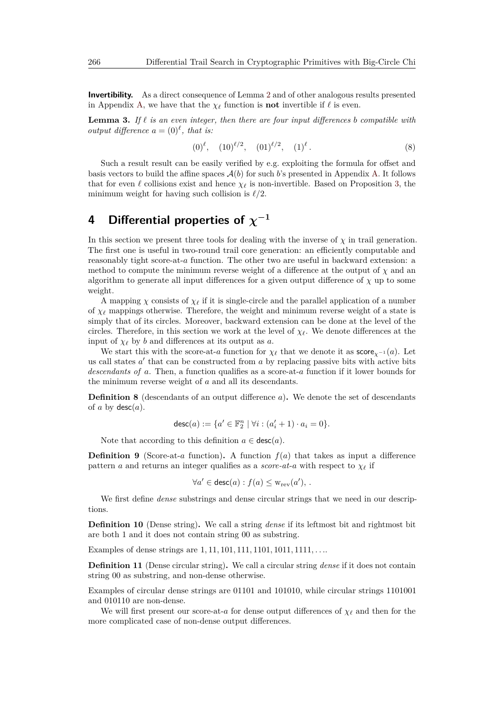**Invertibility.** As a direct consequence of Lemma [2](#page-12-3) and of other analogous results presented in Appendix [A,](#page-31-8) we have that the  $\chi_{\ell}$  function is **not** invertible if  $\ell$  is even.

**Lemma 3.** If  $\ell$  is an even integer, then there are four input differences *b* compatible with *output difference*  $a = (0)^{\ell}$ *, that is:* 

$$
(0)^{\ell}, \quad (10)^{\ell/2}, \quad (01)^{\ell/2}, \quad (1)^{\ell}. \tag{8}
$$

Such a result result can be easily verified by e.g. exploiting the formula for offset and basis vectors to build the affine spaces  $A(b)$  for such *b*'s presented in Appendix [A.](#page-31-8) It follows that for even  $\ell$  collisions exist and hence  $\chi_{\ell}$  is non-invertible. Based on Proposition [3,](#page-12-0) the minimum weight for having such collision is  $\ell/2$ .

# <span id="page-13-0"></span>**4** Differential properties of  $\chi^{-1}$

In this section we present three tools for dealing with the inverse of  $\chi$  in trail generation. The first one is useful in two-round trail core generation: an efficiently computable and reasonably tight score-at-*a* function. The other two are useful in backward extension: a method to compute the minimum reverse weight of a difference at the output of  $\chi$  and an algorithm to generate all input differences for a given output difference of  $\chi$  up to some weight.

A mapping  $\chi$  consists of  $\chi_{\ell}$  if it is single-circle and the parallel application of a number of  $\chi_\ell$  mappings otherwise. Therefore, the weight and minimum reverse weight of a state is simply that of its circles. Moreover, backward extension can be done at the level of the circles. Therefore, in this section we work at the level of  $\chi_{\ell}$ . We denote differences at the input of  $\chi_{\ell}$  by *b* and differences at its output as *a*.

We start this with the score-at-*a* function for  $\chi_{\ell}$  that we denote it as score<sub> $\chi$ </sub>−1(*a*). Let us call states  $a'$  that can be constructed from  $a$  by replacing passive bits with active bits *descendants of a*. Then, a function qualifies as a score-at-*a* function if it lower bounds for the minimum reverse weight of *a* and all its descendants.

**Definition 8** (descendants of an output difference *a*)**.** We denote the set of descendants of *a* by  $\text{desc}(a)$ .

$$
\mathsf{desc}(a) := \{a' \in \mathbb{F}_2^n \mid \forall i : (a'_i + 1) \cdot a_i = 0\}.
$$

Note that according to this definition  $a \in \text{desc}(a)$ .

**Definition 9** (Score-at-*a* function). A function  $f(a)$  that takes as input a difference pattern *a* and returns an integer qualifies as a *score-at-a* with respect to  $\chi_{\ell}$  if

$$
\forall a' \in \text{desc}(a) : f(a) \leq w_{\text{rev}}(a'), .
$$

We first define *dense* substrings and dense circular strings that we need in our descriptions.

**Definition 10** (Dense string)**.** We call a string *dense* if its leftmost bit and rightmost bit are both 1 and it does not contain string 00 as substring.

Examples of dense strings are 1*,* 11*,* 101*,* 111*,* 1101*,* 1011*,* 1111*, . . .*.

**Definition 11** (Dense circular string)**.** We call a circular string *dense* if it does not contain string 00 as substring, and non-dense otherwise.

Examples of circular dense strings are 01101 and 101010, while circular strings 1101001 and 010110 are non-dense.

We will first present our score-at-*a* for dense output differences of  $\chi_{\ell}$  and then for the more complicated case of non-dense output differences.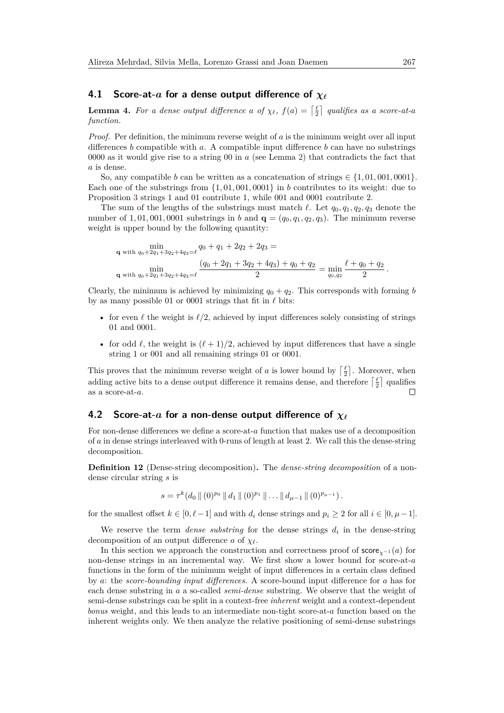### **4.1 Score-at-***a* for a dense output difference of  $\chi_{\ell}$

<span id="page-14-0"></span>**Lemma 4.** For a dense output difference a of  $\chi_{\ell}$ ,  $f(a) = \begin{bmatrix} \frac{\ell}{2} \end{bmatrix}$  qualifies as a score-at-a *function.*

*Proof.* Per definition, the minimum reverse weight of *a* is the minimum weight over all input differences *b* compatible with *a*. A compatible input difference *b* can have no substrings 0000 as it would give rise to a string 00 in *a* (see Lemma [2\)](#page-12-3) that contradicts the fact that *a* is dense.

So, any compatible *b* can be written as a concatenation of strings  $\in \{1, 01, 001, 0001\}$ . Each one of the substrings from {1*,* 01*,* 001*,* 0001} in *b* contributes to its weight: due to Proposition [3](#page-12-0) strings 1 and 01 contribute 1, while 001 and 0001 contribute 2.

The sum of the lengths of the substrings must match  $\ell$ . Let  $q_0, q_1, q_2, q_3$  denote the number of 1,01,001,0001 substrings in *b* and  $\mathbf{q} = (q_0, q_1, q_2, q_3)$ . The minimum reverse weight is upper bound by the following quantity:

$$
\min_{\mathbf{q} \text{ with } q_0 + 2q_1 + 3q_2 + 4q_3 = \ell} q_0 + q_1 + 2q_2 + 2q_3 =
$$
\n
$$
\min_{\mathbf{q} \text{ with } q_0 + 2q_1 + 3q_2 + 4q_3 = \ell} \frac{(q_0 + 2q_1 + 3q_2 + 4q_3) + q_0 + q_2}{2} = \min_{q_0, q_2} \frac{\ell + q_0 + q_2}{2}
$$

Clearly, the minimum is achieved by minimizing  $q_0 + q_2$ . This corresponds with forming *b* by as many possible 01 or 0001 strings that fit in  $\ell$  bits:

- for even  $\ell$  the weight is  $\ell/2$ , achieved by input differences solely consisting of strings 01 and 0001.
- for odd  $\ell$ , the weight is  $(\ell + 1)/2$ , achieved by input differences that have a single string 1 or 001 and all remaining strings 01 or 0001.

This proves that the minimum reverse weight of *a* is lower bound by  $\lceil \frac{\ell}{2} \rceil$ . Moreover, when adding active bits to a dense output difference it remains dense, and therefore  $\lceil \frac{\ell}{2} \rceil$  qualifies as a score-at-*a*.  $\Box$ 

### **4.2 Score-at-***a* for a non-dense output difference of  $\chi$ <sup></sup>

For non-dense differences we define a score-at-*a* function that makes use of a decomposition of *a* in dense strings interleaved with 0-runs of length at least 2. We call this the dense-string decomposition.

**Definition 12** (Dense-string decomposition)**.** The *dense-string decomposition* of a nondense circular string *s* is

$$
s = \tau^k (d_0 \, || \, (0)^{p_0} \, || \, d_1 \, || \, (0)^{p_1} \, || \, \dots || \, d_{\mu-1} \, || \, (0)^{p_{\mu-1}}).
$$

for the smallest offset  $k \in [0, \ell-1]$  and with  $d_i$  dense strings and  $p_i \geq 2$  for all  $i \in [0, \mu-1]$ .

We reserve the term *dense substring* for the dense strings  $d_i$  in the dense-string decomposition of an output difference *a* of  $\chi_{\ell}$ .

In this section we approach the construction and correctness proof of score*χ*−<sup>1</sup> (*a*) for non-dense strings in an incremental way. We first show a lower bound for score-at-*a* functions in the form of the minimum weight of input differences in a certain class defined by *a*: the *score-bounding input differences*. A score-bound input difference for *a* has for each dense substring in *a* a so-called *semi-dense* substring. We observe that the weight of semi-dense substrings can be split in a context-free *inherent* weight and a context-dependent *bonus* weight, and this leads to an intermediate non-tight score-at-*a* function based on the inherent weights only. We then analyze the relative positioning of semi-dense substrings

*.*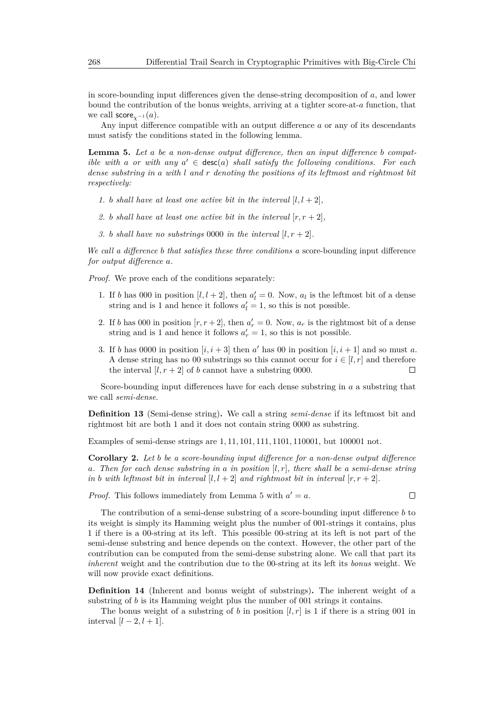in score-bounding input differences given the dense-string decomposition of *a*, and lower bound the contribution of the bonus weights, arriving at a tighter score-at-*a* function, that we call  $score_{\chi^{-1}}(a)$ .

Any input difference compatible with an output difference *a* or any of its descendants must satisfy the conditions stated in the following lemma.

<span id="page-15-0"></span>**Lemma 5.** *Let a be a non-dense output difference, then an input difference b compatible with a or with* any  $a' \in \text{desc}(a)$  *shall satisfy the following conditions. For each dense substring in a with l and r denoting the positions of its leftmost and rightmost bit respectively:*

- *1. b shall have at least one active bit in the interval*  $[l, l + 2]$ *,*
- 2. *b shall have at least one active bit in the interval*  $[r, r+2]$ *,*
- *3. b shall have no substrings* 0000 *in the interval*  $[l, r + 2]$ *.*

*We call a difference b that satisfies these three conditions a* score-bounding input difference *for output difference a.*

*Proof.* We prove each of the conditions separately:

- 1. If *b* has 000 in position  $[l, l + 2]$ , then  $a'_l = 0$ . Now,  $a_l$  is the leftmost bit of a dense string and is 1 and hence it follows  $a'_l = 1$ , so this is not possible.
- 2. If *b* has 000 in position  $[r, r+2]$ , then  $a'_r = 0$ . Now,  $a_r$  is the rightmost bit of a dense string and is 1 and hence it follows  $a'_r = 1$ , so this is not possible.
- 3. If *b* has 0000 in position  $[i, i + 3]$  then *a'* has 00 in position  $[i, i + 1]$  and so must *a*. A dense string has no 00 substrings so this cannot occur for  $i \in [l, r]$  and therefore the interval  $[l, r + 2]$  of *b* cannot have a substring 0000.

Score-bounding input differences have for each dense substring in *a* a substring that we call *semi-dense*.

**Definition 13** (Semi-dense string)**.** We call a string *semi-dense* if its leftmost bit and rightmost bit are both 1 and it does not contain string 0000 as substring.

Examples of semi-dense strings are 1*,* 11*,* 101*,* 111*,* 1101*,* 110001, but 100001 not.

**Corollary 2.** *Let b be a score-bounding input difference for a non-dense output difference a. Then for each dense substring in a in position* [*l, r*]*, there shall be a semi-dense string in b with leftmost bit in interval*  $[l, l + 2]$  *and rightmost bit in interval*  $[r, r + 2]$ *.* 

*Proof.* This follows immediately from Lemma [5](#page-15-0) with  $a' = a$ .

 $\Box$ 

The contribution of a semi-dense substring of a score-bounding input difference *b* to its weight is simply its Hamming weight plus the number of 001-strings it contains, plus 1 if there is a 00-string at its left. This possible 00-string at its left is not part of the semi-dense substring and hence depends on the context. However, the other part of the contribution can be computed from the semi-dense substring alone. We call that part its *inherent* weight and the contribution due to the 00-string at its left its *bonus* weight. We will now provide exact definitions.

**Definition 14** (Inherent and bonus weight of substrings)**.** The inherent weight of a substring of *b* is its Hamming weight plus the number of 001 strings it contains.

The bonus weight of a substring of *b* in position  $[l, r]$  is 1 if there is a string 001 in interval  $[l - 2, l + 1]$ .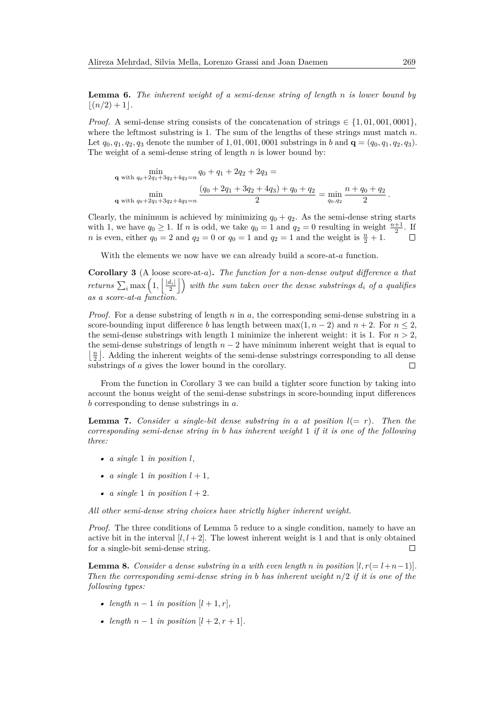**Lemma 6.** *The inherent weight of a semi-dense string of length n is lower bound by*  $(n/2) + 1$ .

*Proof.* A semi-dense string consists of the concatenation of strings  $\in \{1, 01, 001, 0001\}$ , where the leftmost substring is 1. The sum of the lengths of these strings must match *n*. Let  $q_0, q_1, q_2, q_3$  denote the number of 1,01,001,0001 substrings in *b* and **q** =  $(q_0, q_1, q_2, q_3)$ . The weight of a semi-dense string of length *n* is lower bound by:

**q** with  $q_0+2q_1+3q_2+4q_3=n$   $q_0+q_1+2q_2+2q_3=$ **q** with  $q_0+2q_1+3q_2+4q_3=n$  $(q_0 + 2q_1 + 3q_2 + 4q_3) + q_0 + q_2$  $\frac{1}{2} \frac{1}{2} \frac{q_3}{q_0} = \min_{q_0, q_2}$  $n + q_0 + q_2$  $\frac{10+92}{2}$ .

Clearly, the minimum is achieved by minimizing  $q_0 + q_2$ . As the semi-dense string starts with 1, we have  $q_0 \ge 1$ . If *n* is odd, we take  $q_0 = 1$  and  $q_2 = 0$  resulting in weight  $\frac{n+1}{2}$ . If *n* is even, either  $q_0 = 2$  and  $q_2 = 0$  or  $q_0 = 1$  and  $q_2 = 1$  and the weight is  $\frac{n}{2} + 1$ .  $\Box$ 

With the elements we now have we can already build a score-at-*a* function.

<span id="page-16-0"></span>**Corollary 3** (A loose score-at-*a*)**.** *The function for a non-dense output difference a that returns*  $\sum_i$  max  $\left(1, \left|\frac{|d_i|}{2}\right|\right)$  with the sum taken over the dense substrings  $d_i$  of a qualifies *as a score-at-a function.*

*Proof.* For a dense substring of length *n* in *a*, the corresponding semi-dense substring in a score-bounding input difference *b* has length between  $\max(1, n-2)$  and  $n+2$ . For  $n \leq 2$ , the semi-dense substrings with length 1 minimize the inherent weight: it is 1. For  $n > 2$ , the semi-dense substrings of length  $n-2$  have minimum inherent weight that is equal to  $\lfloor \frac{n}{2} \rfloor$ . Adding the inherent weights of the semi-dense substrings corresponding to all dense substrings of *a* gives the lower bound in the corollary.  $\Box$ 

From the function in Corollary [3](#page-16-0) we can build a tighter score function by taking into account the bonus weight of the semi-dense substrings in score-bounding input differences *b* corresponding to dense substrings in *a*.

<span id="page-16-2"></span>**Lemma 7.** *Consider a single-bit dense substring in a at position*  $l = r$ *). Then the corresponding semi-dense string in b has inherent weight* 1 *if it is one of the following three:*

- $\alpha$  *single* 1 *in position l*,
- *a single* 1 *in position*  $l + 1$ *,*
- *a single* 1 *in position*  $l + 2$ *.*

*All other semi-dense string choices have strictly higher inherent weight.*

*Proof.* The three conditions of Lemma [5](#page-15-0) reduce to a single condition, namely to have an active bit in the interval  $[l, l + 2]$ . The lowest inherent weight is 1 and that is only obtained for a single-bit semi-dense string.  $\Box$ 

<span id="page-16-1"></span>**Lemma 8.** *Consider a dense substring in a with even length n in position*  $[l, r(= l+n-1)]$ *. Then the corresponding semi-dense string in b has inherent weight n/*2 *if it is one of the following types:*

- *length*  $n-1$  *in position*  $[l+1,r]$ *,*
- *length*  $n 1$  *in position*  $[l + 2, r + 1]$ *.*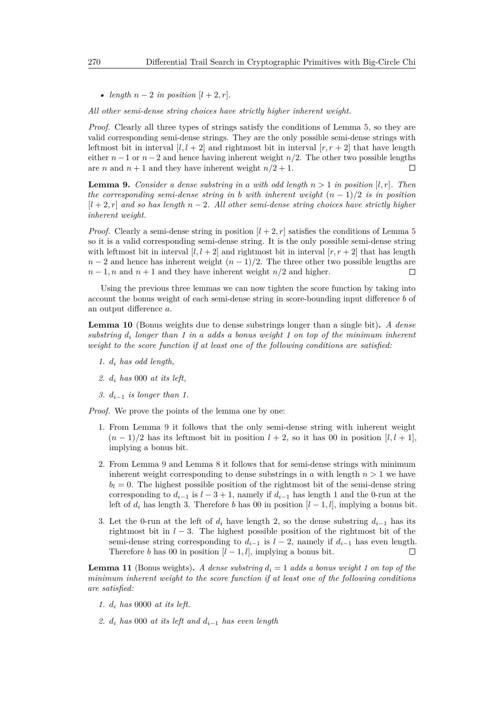• *length*  $n-2$  *in position*  $[l+2, r]$ *.* 

*All other semi-dense string choices have strictly higher inherent weight.*

*Proof.* Clearly all three types of strings satisfy the conditions of Lemma [5,](#page-15-0) so they are valid corresponding semi-dense strings. They are the only possible semi-dense strings with leftmost bit in interval  $[l, l + 2]$  and rightmost bit in interval  $[r, r + 2]$  that have length either  $n-1$  or  $n-2$  and hence having inherent weight  $n/2$ . The other two possible lengths are *n* and  $n+1$  and they have inherent weight  $n/2+1$ .  $\Box$ 

<span id="page-17-0"></span>**Lemma 9.** *Consider a dense substring in a with odd length*  $n > 1$  *in position* [*l, r*]*. Then the corresponding semi-dense string in b with inherent weight*  $(n-1)/2$  *is in position* [*l* + 2*, r*] *and so has length n* − 2*. All other semi-dense string choices have strictly higher inherent weight.*

*Proof.* Clearly a semi-dense string in position  $[l + 2, r]$  satisfies the conditions of Lemma [5](#page-15-0) so it is a valid corresponding semi-dense string. It is the only possible semi-dense string with leftmost bit in interval  $[l, l + 2]$  and rightmost bit in interval  $[r, r + 2]$  that has length  $n-2$  and hence has inherent weight  $(n-1)/2$ . The three other two possible lengths are  $n-1$ , *n* and  $n+1$  and they have inherent weight  $n/2$  and higher.  $\Box$ 

Using the previous three lemmas we can now tighten the score function by taking into account the bonus weight of each semi-dense string in score-bounding input difference *b* of an output difference *a*.

<span id="page-17-1"></span>**Lemma 10** (Bonus weights due to dense substrings longer than a single bit)**.** *A dense substring d<sup>i</sup> longer than 1 in a adds a bonus weight 1 on top of the minimum inherent weight to the score function if at least one of the following conditions are satisfied:*

- *1. d<sup>i</sup> has odd length,*
- *2. d<sup>i</sup> has* 000 *at its left,*
- *3. di*−<sup>1</sup> *is longer than 1.*

*Proof.* We prove the points of the lemma one by one:

- 1. From Lemma [9](#page-17-0) it follows that the only semi-dense string with inherent weight  $(n-1)/2$  has its leftmost bit in position  $l+2$ , so it has 00 in position  $[l, l+1]$ , implying a bonus bit.
- 2. From Lemma [9](#page-17-0) and Lemma [8](#page-16-1) it follows that for semi-dense strings with minimum inherent weight corresponding to dense substrings in *a* with length  $n > 1$  we have  $b_l = 0$ . The highest possible position of the rightmost bit of the semi-dense string corresponding to  $d_{i-1}$  is  $l-3+1$ , namely if  $d_{i-1}$  has length 1 and the 0-run at the left of  $d_i$  has length 3. Therefore *b* has 00 in position  $[l - 1, l]$ , implying a bonus bit.
- 3. Let the 0-run at the left of  $d_i$  have length 2, so the dense substring  $d_{i-1}$  has its rightmost bit in *l* − 3. The highest possible position of the rightmost bit of the semi-dense string corresponding to  $d_{i-1}$  is  $l-2$ , namely if  $d_{i-1}$  has even length. Therefore *b* has 00 in position  $[l - 1, l]$ , implying a bonus bit.  $\Box$

<span id="page-17-2"></span>**Lemma 11** (Bonus weights). A dense substring  $d_i = 1$  adds a bonus weight 1 on top of the *minimum inherent weight to the score function if at least one of the following conditions are satisfied:*

- *1. d<sup>i</sup> has* 0000 *at its left.*
- *2. d<sup>i</sup> has* 000 *at its left and di*−<sup>1</sup> *has even length*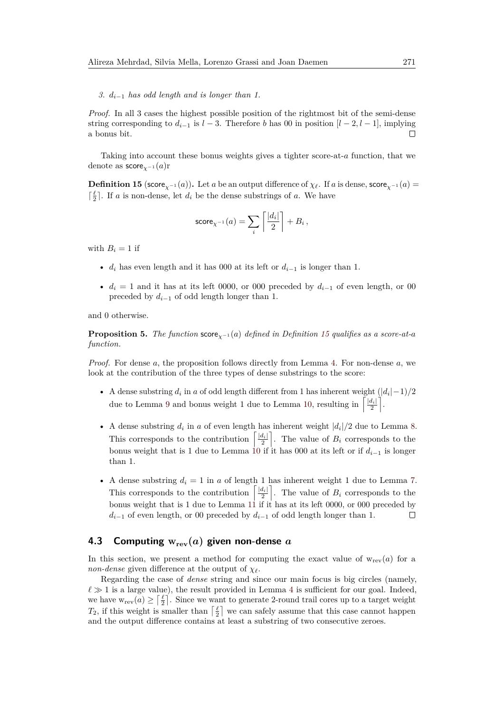*3. di*−<sup>1</sup> *has odd length and is longer than 1.*

*Proof.* In all 3 cases the highest possible position of the rightmost bit of the semi-dense string corresponding to  $d_{i-1}$  is  $l-3$ . Therefore *b* has 00 in position  $[l-2, l-1]$ , implying a bonus bit.  $\Box$ 

Taking into account these bonus weights gives a tighter score-at-*a* function, that we denote as score*χ*−<sup>1</sup> (*a*)r

<span id="page-18-0"></span>**Definition 15** (score<sub>*χ*−1</sub>(*a*)). Let *a* be an output difference of  $\chi$ *l*. If *a* is dense, score<sub>*χ*−1</sub>(*a*) =  $\lceil \frac{\ell}{2} \rceil$ . If *a* is non-dense, let *di* be the dense substrings of *a*. We have

$$
\mathsf{score}_{\chi^{-1}}(a) = \sum_i \left\lceil \frac{|d_i|}{2} \right\rceil + B_i \,,
$$

with  $B_i = 1$  if

- *d<sub>i</sub>* has even length and it has 000 at its left or  $d_{i-1}$  is longer than 1.
- $d_i = 1$  and it has at its left 0000, or 000 preceded by  $d_{i-1}$  of even length, or 00 preceded by  $d_{i-1}$  of odd length longer than 1.

and 0 otherwise.

**Proposition 5.** *The function* score<sub> $\chi$ −1</sub>(*a*) *defined in Definition* [15](#page-18-0) *qualifies as a score-at-a function.*

*Proof.* For dense *a*, the proposition follows directly from Lemma [4.](#page-14-0) For non-dense *a*, we look at the contribution of the three types of dense substrings to the score:

- A dense substring  $d_i$  in  $a$  of odd length different from 1 has inherent weight  $(|d_i| 1)/2$ due to Lemma [9](#page-17-0) and bonus weight 1 due to Lemma [10,](#page-17-1) resulting in  $\left[\frac{|d_i|}{2}\right]$ .
- A dense substring  $d_i$  in  $a$  of even length has inherent weight  $|d_i|/2$  due to Lemma [8.](#page-16-1) This corresponds to the contribution  $\left[\frac{|d_i|}{2}\right]$ . The value of  $B_i$  corresponds to the bonus weight that is 1 due to Lemma [10](#page-17-1) if it has 000 at its left or if  $d_{i-1}$  is longer than 1.
- A dense substring  $d_i = 1$  in  $a$  of length 1 has inherent weight 1 due to Lemma [7.](#page-16-2) This corresponds to the contribution  $\left[\frac{|d_i|}{2}\right]$ . The value of  $B_i$  corresponds to the bonus weight that is 1 due to Lemma [11](#page-17-2) if it has at its left 0000, or 000 preceded by *d*<sub>*i*−1</sub> of even length, or 00 preceded by  $d$ <sup>*i*−1</sup> of odd length longer than 1.  $\Box$

## **4.3** Computing  $w_{rev}(a)$  given non-dense a

In this section, we present a method for computing the exact value of  $w_{rev}(a)$  for a *non-dense* given difference at the output of  $\chi_{\ell}$ .

Regarding the case of *dense* string and since our main focus is big circles (namely,  $\ell \gg 1$  is a large value), the result provided in Lemma [4](#page-14-0) is sufficient for our goal. Indeed, we have  $w_{rev}(a) \geq \lceil \frac{\ell}{2} \rceil$ . Since we want to generate 2-round trail cores up to a target weight  $T_2$ , if this weight is smaller than  $\lceil \frac{\ell}{2} \rceil$  we can safely assume that this case cannot happen and the output difference contains at least a substring of two consecutive zeroes.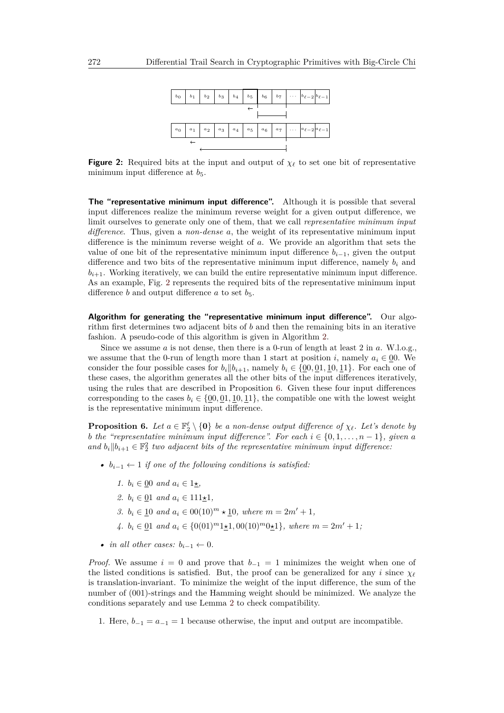<span id="page-19-0"></span>

**Figure 2:** Required bits at the input and output of  $\chi_\ell$  to set one bit of representative minimum input difference at  $b_5$ .

**The "representative minimum input difference".** Although it is possible that several input differences realize the minimum reverse weight for a given output difference, we limit ourselves to generate only one of them, that we call *representative minimum input difference*. Thus, given a *non-dense a*, the weight of its representative minimum input difference is the minimum reverse weight of *a*. We provide an algorithm that sets the value of one bit of the representative minimum input difference  $b_{i-1}$ , given the output difference and two bits of the representative minimum input difference, namely *b<sup>i</sup>* and  $b_{i+1}$ . Working iteratively, we can build the entire representative minimum input difference. As an example, Fig. [2](#page-19-0) represents the required bits of the representative minimum input difference *b* and output difference *a* to set  $b_5$ .

**Algorithm for generating the "representative minimum input difference".** Our algorithm first determines two adjacent bits of *b* and then the remaining bits in an iterative fashion. A pseudo-code of this algorithm is given in Algorithm [2.](#page-21-1)

Since we assume *a* is not dense, then there is a 0-run of length at least 2 in *a*. W.l.o.g., we assume that the 0-run of length more than 1 start at position *i*, namely  $a_i \in 00$ . We consider the four possible cases for  $b_i || b_{i+1}$ , namely  $b_i \in \{0, 0, 1, 10, 11\}$ . For each one of these cases, the algorithm generates all the other bits of the input differences iteratively, using the rules that are described in Proposition [6.](#page-19-1) Given these four input differences corresponding to the cases  $b_i \in \{0, 0, 0, 1, 10, 11\}$ , the compatible one with the lowest weight is the representative minimum input difference.

<span id="page-19-1"></span>**Proposition 6.** Let  $a \in \mathbb{F}_2^{\ell} \setminus \{0\}$  be a non-dense output difference of  $\chi_{\ell}$ . Let's denote by *b the "representative minimum input difference". For each*  $i \in \{0, 1, \ldots, n-1\}$ *, given a* and  $b_i || b_{i+1} \in \mathbb{F}_2^2$  two adjacent bits of the representative minimum input difference:

- $b_{i-1} \leftarrow 1$  *if one of the following conditions is satisfied:* 
	- *1.*  $b_i \in 00$  *and*  $a_i \in 1$ *<del>* $\times$ *</del>,*
	- *2.*  $b_i \in \{01 \text{ and } a_i \in 111 \star 1\}$
	- *3.*  $b_i \in \{10 \text{ and } a_i \in 00(10)^m \star \{10, \text{ where } m = 2m' + 1, \}$
	- *4.*  $b_i \in 01$  *and*  $a_i \in \{0(01)^m1\star1, 00(10)^m0\star1\}$ *, where*  $m = 2m' + 1$ *;*
- *in all other cases:*  $b_{i-1} \leftarrow 0$ .

*Proof.* We assume  $i = 0$  and prove that  $b_{-1} = 1$  minimizes the weight when one of the listed conditions is satisfied. But, the proof can be generalized for any *i* since  $\chi$ <sup>*'*</sup> is translation-invariant. To minimize the weight of the input difference, the sum of the number of (001)-strings and the Hamming weight should be minimized. We analyze the conditions separately and use Lemma [2](#page-12-3) to check compatibility.

1. Here,  $b_{-1} = a_{-1} = 1$  because otherwise, the input and output are incompatible.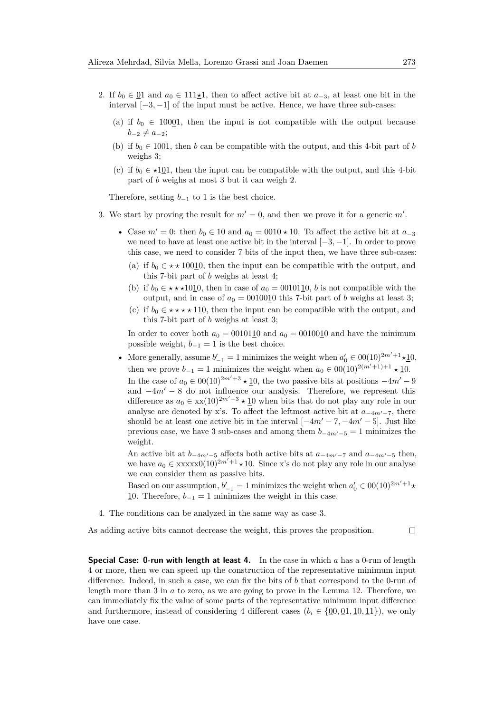- 2. If  $b_0 \in \underline{0}1$  and  $a_0 \in 111\pm 1$ , then to affect active bit at  $a_{-3}$ , at least one bit in the interval [−3*,* −1] of the input must be active. Hence, we have three sub-cases:
	- (a) if  $b_0 \in 10001$ , then the input is not compatible with the output because  $b_{-2} \neq a_{-2}$ ;
	- (b) if  $b_0 \in 1001$ , then *b* can be compatible with the output, and this 4-bit part of *b* weighs 3;
	- (c) if  $b_0 \in \star 101$ , then the input can be compatible with the output, and this 4-bit part of *b* weighs at most 3 but it can weigh 2.

Therefore, setting  $b_{-1}$  to 1 is the best choice.

- 3. We start by proving the result for  $m' = 0$ , and then we prove it for a generic m'.
	- Case  $m' = 0$ : then  $b_0 \in \mathbf{10}$  and  $a_0 = 0010 \star \mathbf{10}$ . To affect the active bit at  $a_{-3}$ we need to have at least one active bit in the interval [−3*,* −1]. In order to prove this case, we need to consider 7 bits of the input then, we have three sub-cases:
		- (a) if  $b_0 \in \star \star 10010$ , then the input can be compatible with the output, and this 7-bit part of *b* weighs at least 4;
		- (b) if  $b_0 \in \star \star \star 10\underline{1}0$ , then in case of  $a_0 = 00101\underline{1}0$ , *b* is not compatible with the output, and in case of  $a_0 = 0010010$  this 7-bit part of *b* weighs at least 3;
		- (c) if  $b_0 \in \star \star \star \star 110$ , then the input can be compatible with the output, and this 7-bit part of *b* weighs at least 3;

In order to cover both  $a_0 = 0010110$  and  $a_0 = 0010010$  and have the minimum possible weight,  $b_{-1} = 1$  is the best choice.

• More generally, assume  $b'_{-1} = 1$  minimizes the weight when  $a'_0 \in 00(10)^{2m'+1} \star \underline{1}0$ , then we prove  $b_{-1} = 1$  minimizes the weight when  $a_0 \in 00(10)^{2(m'+1)+1} \star \underline{1}0$ . In the case of  $a_0 \n∈ 00(10)^{2m'+3} \nless 10$ , the two passive bits at positions  $-4m'-9$ and  $-4m' - 8$  do not influence our analysis. Therefore, we represent this difference as  $a_0 \in xx(10)^{2m'+3} \star 10$  when bits that do not play any role in our analyse are denoted by x's. To affect the leftmost active bit at  $a_{-4m'-7}$ , there should be at least one active bit in the interval  $[-4m' - 7, -4m' - 5]$ . Just like previous case, we have 3 sub-cases and among them  $b_{-4m'-5} = 1$  minimizes the weight.

An active bit at  $b_{-4m'-5}$  affects both active bits at  $a_{-4m'-7}$  and  $a_{-4m'-5}$  then, we have  $a_0 \in \frac{\text{xxxx0}(10)^{2m'+1} \times 10}{\text{. Since x's do not play any role in our analyse}}$ we can consider them as passive bits.

Based on our assumption,  $b'_{-1} = 1$  minimizes the weight when  $a'_0 \in 00(10)^{2m'+1} \star$ 10. Therefore,  $b_{-1} = 1$  minimizes the weight in this case.

4. The conditions can be analyzed in the same way as case 3.

As adding active bits cannot decrease the weight, this proves the proposition.

 $\Box$ 

<span id="page-20-0"></span>**Special Case: 0-run with length at least 4.** In the case in which *a* has a 0-run of length 4 or more, then we can speed up the construction of the representative minimum input difference. Indeed, in such a case, we can fix the bits of *b* that correspond to the 0-run of length more than 3 in *a* to zero, as we are going to prove in the Lemma [12.](#page-20-0) Therefore, we can immediately fix the value of some parts of the representative minimum input difference and furthermore, instead of considering 4 different cases ( $b_i \in \{0, 0, 1, 10, 11\}$ ), we only have one case.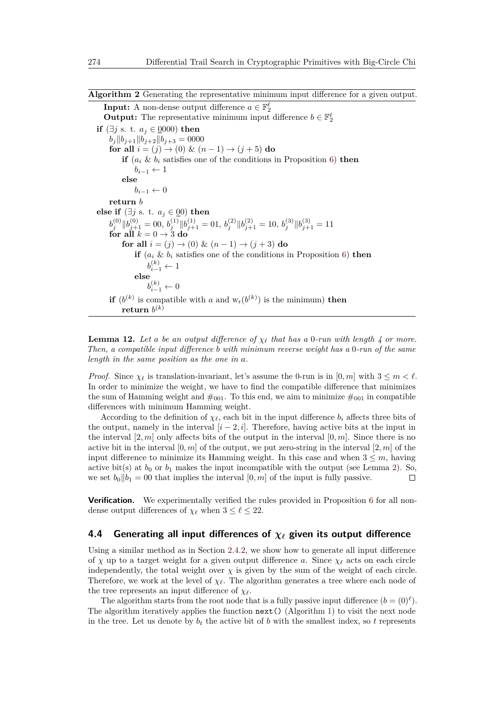<span id="page-21-1"></span>**Algorithm 2** Generating the representative minimum input difference for a given output.

**Input:** A non-dense output difference  $a \in \mathbb{F}_2^{\ell}$ **Output:** The representative minimum input difference  $b \in \mathbb{F}_2^{\ell}$ **if** ( $\exists j$  s. t.  $a_j \in \{0000\}$  then  $b_j \|b_{j+1}\|b_{j+2}\|b_{j+3} = 0000$ **for all**  $i = (j) \to (0) \& (n-1) \to (j+5)$  **do if**  $(a_i \& b_i)$  satisfies one of the conditions in Proposition [6\)](#page-19-1) **then**  $b_{i-1} \leftarrow 1$ **else**  $b_{i-1}$  ← 0 **return** *b* **else if** ( $\exists j$  s. t.  $a_j$  ∈ <u>0</u>0) **then**  $b_j^{(0)} \|b_{j+1}^{(0)} = 00, b_j^{(1)} \|b_{j+1}^{(1)} = 01, b_j^{(2)} \|b_{j+1}^{(2)} = 10, b_j^{(3)} \|b_{j+1}^{(3)} = 11$ **for all**  $k = 0 \rightarrow 3$  **do for all**  $i = (j) \to (0) \& (n-1) \to (j+3)$  **do if**  $(a_i \& b_i$  satisfies one of the conditions in Proposition [6\)](#page-19-1) **then**  $b_{i-1}^{(k)} \leftarrow 1$ **else**  $b_{i-1}^{(k)} \leftarrow 0$ **if**  $(b^{(k)}$  is compatible with *a* and  $w_r(b^{(k)})$  is the minimum) **then**  ${\bf return} \; b^{(k)}$ 

**Lemma 12.** Let a be an output difference of  $\chi_\ell$  that has a 0-run with length 4 or more. *Then, a compatible input difference b with minimum reverse weight has a* 0*-run of the same length in the same position as the one in a.*

*Proof.* Since  $\chi_{\ell}$  is translation-invariant, let's assume the 0-run is in  $[0, m]$  with  $3 \leq m < \ell$ . In order to minimize the weight, we have to find the compatible difference that minimizes the sum of Hamming weight and  $\#_{001}$ . To this end, we aim to minimize  $\#_{001}$  in compatible differences with minimum Hamming weight.

According to the definition of  $\chi_{\ell}$ , each bit in the input difference  $b_i$  affects three bits of the output, namely in the interval  $[i - 2, i]$ . Therefore, having active bits at the input in the interval  $[2, m]$  only affects bits of the output in the interval  $[0, m]$ . Since there is no active bit in the interval  $[0, m]$  of the output, we put zero-string in the interval  $[2, m]$  of the input difference to minimize its Hamming weight. In this case and when  $3 \leq m$ , having active bit(s) at  $b_0$  or  $b_1$  makes the input incompatible with the output (see Lemma [2\)](#page-12-3). So, we set  $b_0||b_1 = 00$  that implies the interval  $[0, m]$  of the input is fully passive.  $\Box$ 

**Verification.** We experimentally verified the rules provided in Proposition [6](#page-19-1) for all nondense output differences of  $\chi_{\ell}$  when  $3 \leq \ell \leq 22$ .

### <span id="page-21-0"></span>**4.4 Generating all input differences of** *χ`* **given its output difference**

Using a similar method as in Section [2.4.2,](#page-8-1) we show how to generate all input difference of *χ* up to a target weight for a given output difference *a*. Since  $\chi_{\ell}$  acts on each circle independently, the total weight over  $\chi$  is given by the sum of the weight of each circle. Therefore, we work at the level of  $\chi$ <sup>*i*</sup>. The algorithm generates a tree where each node of the tree represents an input difference of  $\chi_{\ell}$ .

The algorithm starts from the root node that is a fully passive input difference  $(b = (0)^\ell)$ . The algorithm iteratively applies the function  $next()$  (Algorithm [1\)](#page-8-0) to visit the next node in the tree. Let us denote by  $b_t$  the active bit of b with the smallest index, so t represents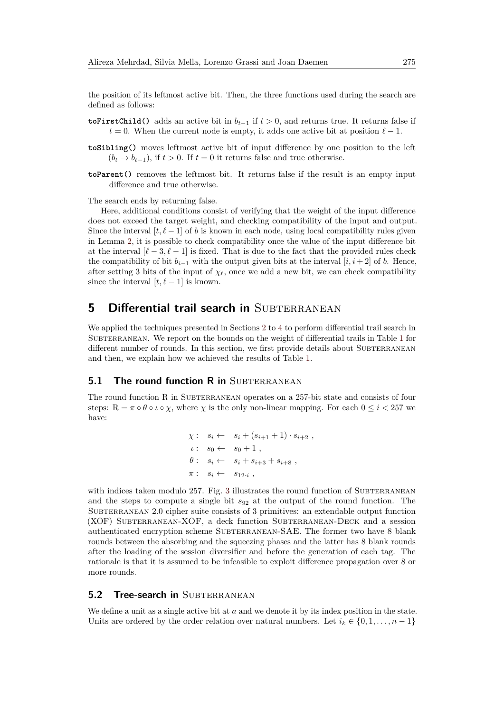the position of its leftmost active bit. Then, the three functions used during the search are defined as follows:

- **toFirstChild()** adds an active bit in  $b_{t-1}$  if  $t > 0$ , and returns true. It returns false if  $t = 0$ . When the current node is empty, it adds one active bit at position  $\ell - 1$ .
- **toSibling()** moves leftmost active bit of input difference by one position to the left  $(b_t \rightarrow b_{t-1})$ , if  $t > 0$ . If  $t = 0$  it returns false and true otherwise.
- **toParent()** removes the leftmost bit. It returns false if the result is an empty input difference and true otherwise.

The search ends by returning false.

Here, additional conditions consist of verifying that the weight of the input difference does not exceed the target weight, and checking compatibility of the input and output. Since the interval  $[t, \ell - 1]$  of *b* is known in each node, using local compatibility rules given in Lemma [2,](#page-12-3) it is possible to check compatibility once the value of the input difference bit at the interval  $[\ell - 3, \ell - 1]$  is fixed. That is due to the fact that the provided rules check the compatibility of bit  $b_{i-1}$  with the output given bits at the interval [*i, i* + 2] of *b*. Hence, after setting 3 bits of the input of  $\chi_{\ell}$ , once we add a new bit, we can check compatibility since the interval  $[t, \ell - 1]$  is known.

## <span id="page-22-0"></span>**5 Differential trail search in SUBTERRANEAN**

We applied the techniques presented in Sections [2](#page-4-1) to [4](#page-13-0) to perform differential trail search in SUBTERRANEAN. We report on the bounds on the weight of differential trails in Table [1](#page-4-0) for different number of rounds. In this section, we first provide details about SUBTERRANEAN and then, we explain how we achieved the results of Table [1.](#page-4-0)

### **5.1 The round function R in SUBTERRANEAN**

The round function  $R$  in SUBTERRANEAN operates on a 257-bit state and consists of four steps:  $R = \pi \circ \theta \circ \iota \circ \chi$ , where  $\chi$  is the only non-linear mapping. For each  $0 \leq i < 257$  we have:

$$
\chi: s_i \leftarrow s_i + (s_{i+1} + 1) \cdot s_{i+2} ,\n\iota: s_0 \leftarrow s_0 + 1 ,\n\theta: s_i \leftarrow s_i + s_{i+3} + s_{i+8} ,\n\pi: s_i \leftarrow s_{12} .,
$$

with indices taken modulo  $257$ . Fig. [3](#page-23-0) illustrates the round function of SUBTERRANEAN and the steps to compute a single bit *s*<sup>92</sup> at the output of the round function. The SUBTERRANEAN 2.0 cipher suite consists of 3 primitives: an extendable output function (XOF) Subterranean-XOF, a deck function Subterranean-Deck and a session authenticated encryption scheme SUBTERRANEAN-SAE. The former two have 8 blank rounds between the absorbing and the squeezing phases and the latter has 8 blank rounds after the loading of the session diversifier and before the generation of each tag. The rationale is that it is assumed to be infeasible to exploit difference propagation over 8 or more rounds.

#### **5.2 Tree-search in SUBTERRANEAN**

We define a unit as a single active bit at *a* and we denote it by its index position in the state. Units are ordered by the order relation over natural numbers. Let  $i_k \in \{0, 1, \ldots, n-1\}$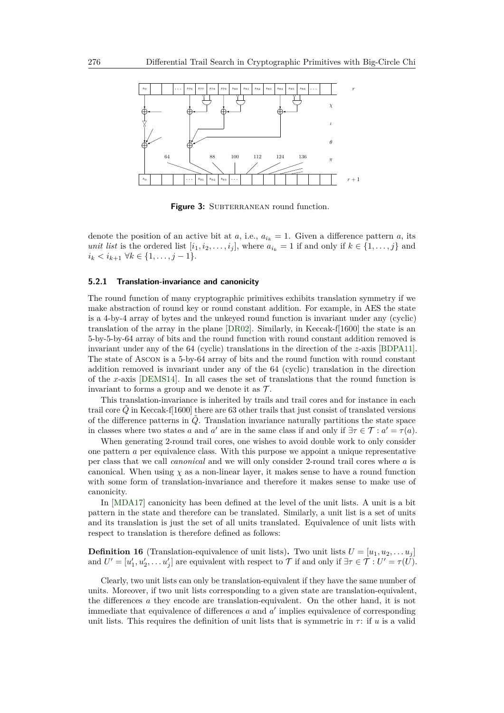<span id="page-23-0"></span>

**Figure 3:** SUBTERRANEAN round function.

denote the position of an active bit at  $a, i.e., a_{i_k} = 1$ . Given a difference pattern  $a$ , its *unit list* is the ordered list  $[i_1, i_2, \ldots, i_j]$ , where  $a_{i_k} = 1$  if and only if  $k \in \{1, \ldots, j\}$  and *i*<sup>*k*</sup>  $\lt i_{k+1}$  ∀*k* ∈ {1, . . . *, j* − 1}.

#### <span id="page-23-1"></span>**5.2.1 Translation-invariance and canonicity**

The round function of many cryptographic primitives exhibits translation symmetry if we make abstraction of round key or round constant addition. For example, in AES the state is a 4-by-4 array of bytes and the unkeyed round function is invariant under any (cyclic) translation of the array in the plane [\[DR02\]](#page-30-0). Similarly, in Keccak-f[1600] the state is an 5-by-5-by-64 array of bits and the round function with round constant addition removed is invariant under any of the 64 (cyclic) translations in the direction of the *z*-axis [\[BDPA11\]](#page-29-6). The state of Ascon is a 5-by-64 array of bits and the round function with round constant addition removed is invariant under any of the 64 (cyclic) translation in the direction of the *x*-axis [\[DEMS14\]](#page-30-13). In all cases the set of translations that the round function is invariant to forms a group and we denote it as  $\mathcal{T}$ .

This translation-invariance is inherited by trails and trail cores and for instance in each trail core *Q*˜ in Keccak-f[1600] there are 63 other trails that just consist of translated versions of the difference patterns in  $\tilde{Q}$ . Translation invariance naturally partitions the state space in classes where two states *a* and *a'* are in the same class if and only if  $\exists \tau \in \mathcal{T} : a' = \tau(a)$ .

When generating 2-round trail cores, one wishes to avoid double work to only consider one pattern *a* per equivalence class. With this purpose we appoint a unique representative per class that we call *canonical* and we will only consider 2-round trail cores where *a* is canonical. When using  $\chi$  as a non-linear layer, it makes sense to have a round function with some form of translation-invariance and therefore it makes sense to make use of canonicity.

In [\[MDA17\]](#page-31-2) canonicity has been defined at the level of the unit lists. A unit is a bit pattern in the state and therefore can be translated. Similarly, a unit list is a set of units and its translation is just the set of all units translated. Equivalence of unit lists with respect to translation is therefore defined as follows:

**Definition 16** (Translation-equivalence of unit lists). Two unit lists  $U = [u_1, u_2, \dots u_j]$ and  $U' = [u'_1, u'_2, \dots u'_j]$  are equivalent with respect to  $\mathcal T$  if and only if  $\exists \tau \in \mathcal T : U' = \tau(U)$ .

Clearly, two unit lists can only be translation-equivalent if they have the same number of units. Moreover, if two unit lists corresponding to a given state are translation-equivalent, the differences *a* they encode are translation-equivalent. On the other hand, it is not immediate that equivalence of differences  $a$  and  $a'$  implies equivalence of corresponding unit lists. This requires the definition of unit lists that is symmetric in  $\tau$ : if *u* is a valid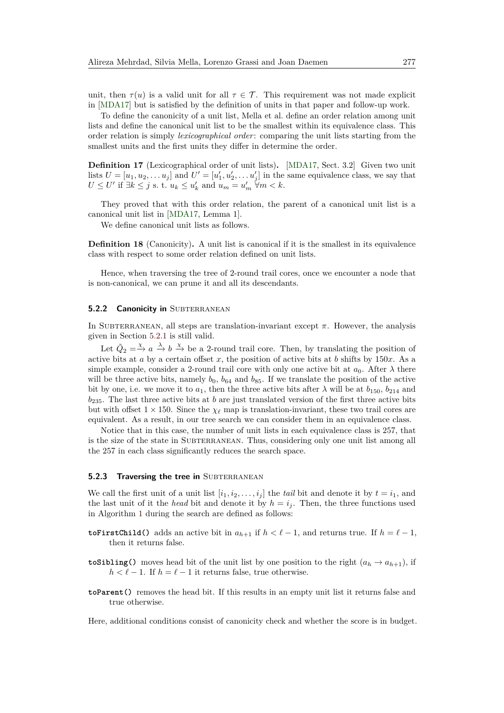unit, then  $\tau(u)$  is a valid unit for all  $\tau \in \mathcal{T}$ . This requirement was not made explicit in [\[MDA17\]](#page-31-2) but is satisfied by the definition of units in that paper and follow-up work.

To define the canonicity of a unit list, Mella et al. define an order relation among unit lists and define the canonical unit list to be the smallest within its equivalence class. This order relation is simply *lexicographical order*: comparing the unit lists starting from the smallest units and the first units they differ in determine the order.

**Definition 17** (Lexicographical order of unit lists)**.** [\[MDA17,](#page-31-2) Sect. 3.2] Given two unit lists  $U = [u_1, u_2, \dots u_j]$  and  $U' = [u'_1, u'_2, \dots u'_j]$  in the same equivalence class, we say that  $U \leq U'$  if  $\exists k \leq j$  s. t.  $u_k \leq u'_k$  and  $u_m = u'_m$   $\forall m < k$ .

They proved that with this order relation, the parent of a canonical unit list is a canonical unit list in [\[MDA17,](#page-31-2) Lemma 1].

We define canonical unit lists as follows.

**Definition 18** (Canonicity). A unit list is canonical if it is the smallest in its equivalence class with respect to some order relation defined on unit lists.

Hence, when traversing the tree of 2-round trail cores, once we encounter a node that is non-canonical, we can prune it and all its descendants.

#### **5.2.2 Canonicity in SUBTERRANEAN**

In SUBTERRANEAN, all steps are translation-invariant except  $\pi$ . However, the analysis given in Section [5.2.1](#page-23-1) is still valid.

Let  $\tilde{Q}_2 = \xrightarrow{\chi} a \xrightarrow{\lambda} b \xrightarrow{\chi} be$  a 2-round trail core. Then, by translating the position of active bits at *a* by a certain offset *x*, the position of active bits at *b* shifts by 150*x*. As a simple example, consider a 2-round trail core with only one active bit at  $a_0$ . After  $\lambda$  there will be three active bits, namely  $b_0$ ,  $b_{64}$  and  $b_{85}$ . If we translate the position of the active bit by one, i.e. we move it to  $a_1$ , then the three active bits after  $\lambda$  will be at  $b_{150}$ ,  $b_{214}$  and *b*235. The last three active bits at *b* are just translated version of the first three active bits but with offset  $1 \times 150$ . Since the  $\chi_{\ell}$  map is translation-invariant, these two trail cores are equivalent. As a result, in our tree search we can consider them in an equivalence class.

Notice that in this case, the number of unit lists in each equivalence class is 257, that is the size of the state in SUBTERRANEAN. Thus, considering only one unit list among all the 257 in each class significantly reduces the search space.

#### **5.2.3 Traversing the tree in SUBTERRANEAN**

We call the first unit of a unit list  $[i_1, i_2, \ldots, i_j]$  the *tail* bit and denote it by  $t = i_1$ , and the last unit of it the *head* bit and denote it by  $h = i_j$ . Then, the three functions used in Algorithm [1](#page-8-0) during the search are defined as follows:

- **toFirstChild()** adds an active bit in  $a_{h+1}$  if  $h < \ell 1$ , and returns true. If  $h = \ell 1$ , then it returns false.
- **toSibling()** moves head bit of the unit list by one position to the right  $(a_h \rightarrow a_{h+1})$ , if  $h < \ell - 1$ . If  $h = \ell - 1$  it returns false, true otherwise.
- **toParent()** removes the head bit. If this results in an empty unit list it returns false and true otherwise.

Here, additional conditions consist of canonicity check and whether the score is in budget.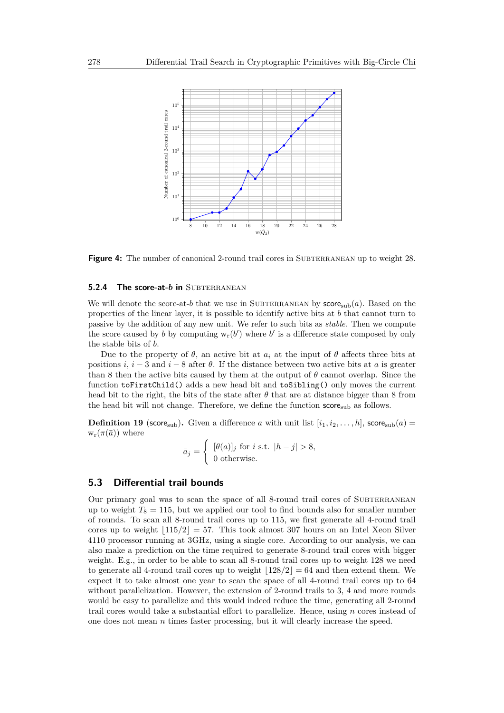<span id="page-25-0"></span>

**Figure 4:** The number of canonical 2-round trail cores in SUBTERRANEAN up to weight 28.

#### **5.2.4 The score-at-***b* **in** SUBTERRANEAN

We will denote the score-at-b that we use in SUBTERRANEAN by  $score_{\rm sub}(a)$ . Based on the properties of the linear layer, it is possible to identify active bits at *b* that cannot turn to passive by the addition of any new unit. We refer to such bits as *stable*. Then we compute the score caused by *b* by computing  $w_r(b')$  where *b*' is a difference state composed by only the stable bits of *b*.

Due to the property of  $\theta$ , an active bit at  $a_i$  at the input of  $\theta$  affects three bits at positions *i*,  $i - 3$  and  $i - 8$  after  $\theta$ . If the distance between two active bits at *a* is greater than 8 then the active bits caused by them at the output of *θ* cannot overlap. Since the function toFirstChild() adds a new head bit and toSibling() only moves the current head bit to the right, the bits of the state after  $\theta$  that are at distance bigger than 8 from the head bit will not change. Therefore, we define the function  $score_{sub}$  as follows.

**Definition 19** (score<sub>sub</sub>). Given a difference *a* with unit list  $[i_1, i_2, \ldots, h]$ , score<sub>sub</sub> $(a)$  $w_r(\pi(\bar{a}))$  where

$$
\bar{a}_j = \begin{cases} [\theta(a)]_j \text{ for } i \text{ s.t. } |h-j| > 8, \\ 0 \text{ otherwise.} \end{cases}
$$

## **5.3 Differential trail bounds**

Our primary goal was to scan the space of all 8-round trail cores of SUBTERRANEAN up to weight  $T_8 = 115$ , but we applied our tool to find bounds also for smaller number of rounds. To scan all 8-round trail cores up to 115, we first generate all 4-round trail cores up to weight  $|115/2| = 57$ . This took almost 307 hours on an Intel Xeon Silver 4110 processor running at 3GHz, using a single core. According to our analysis, we can also make a prediction on the time required to generate 8-round trail cores with bigger weight. E.g., in order to be able to scan all 8-round trail cores up to weight 128 we need to generate all 4-round trail cores up to weight  $|128/2| = 64$  and then extend them. We expect it to take almost one year to scan the space of all 4-round trail cores up to 64 without parallelization. However, the extension of 2-round trails to 3, 4 and more rounds would be easy to parallelize and this would indeed reduce the time, generating all 2-round trail cores would take a substantial effort to parallelize. Hence, using *n* cores instead of one does not mean *n* times faster processing, but it will clearly increase the speed.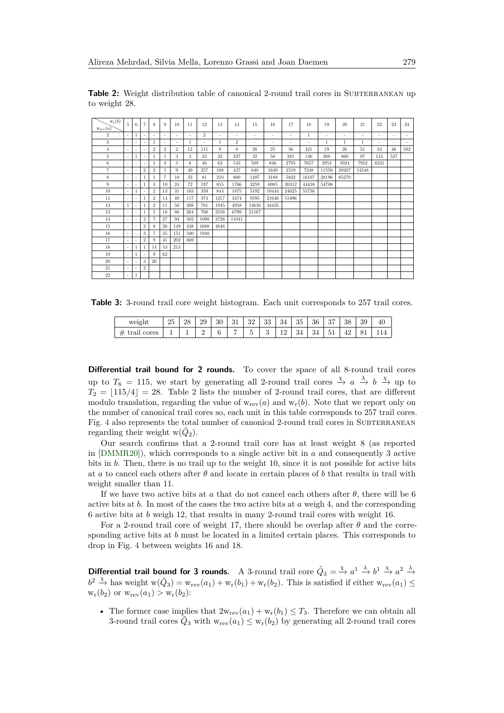<span id="page-26-0"></span>**Table 2:** Weight distribution table of canonical 2-round trail cores in SUBTERRANEAN up to weight 28.

| $w_r(b)$<br>$W_{\text{rev}}(a)$ | 5.                       | 6                        | 7              | 8                        | 9                        | 10                       | 11  | 12                       | 13                       | 14             | 15                       | 16                       | 17     | 18                       | 19                       | 20           | 21     | 22                       | 23  | 24  |
|---------------------------------|--------------------------|--------------------------|----------------|--------------------------|--------------------------|--------------------------|-----|--------------------------|--------------------------|----------------|--------------------------|--------------------------|--------|--------------------------|--------------------------|--------------|--------|--------------------------|-----|-----|
| $\overline{2}$                  | $\overline{\phantom{a}}$ | 1                        | ۰              | $\overline{\phantom{a}}$ | $\overline{\phantom{a}}$ | $\sim$                   | ٠   | $\overline{2}$           | $\overline{\phantom{a}}$ | $\sim$         | $\overline{\phantom{a}}$ | $\overline{\phantom{a}}$ | $\sim$ | 1                        | $\overline{\phantom{a}}$ | $\sim$       | $\sim$ | $\overline{\phantom{a}}$ | ٠   | ٠   |
| 3                               | ٠                        | $\overline{\phantom{a}}$ | ٠              | 1                        | $\overline{\phantom{a}}$ | $\overline{\phantom{a}}$ | 1   | $\overline{\phantom{a}}$ | $\mathbf{1}$             | $\overline{2}$ | $\overline{\phantom{a}}$ | $\overline{\phantom{a}}$ | $\sim$ | $\overline{\phantom{a}}$ | 1                        | $\mathbf{1}$ | 1      | ٠                        | ٠   | ٠   |
| $\overline{4}$                  | ٠                        |                          |                | $\overline{2}$           | $\overline{2}$           | $\overline{2}$           | 12  | 111                      | 9                        | 8              | 28                       | 25                       | 56     | 421                      | 19                       | 26           | 51     | 34                       | 46  | 592 |
| 5                               | $\overline{\phantom{a}}$ | 1                        | ٠              | 1                        | 1                        | 3                        | 3   | 23                       | 32                       | 237            | 32                       | 58                       | 281    | 136                      | 308                      | 860          | 97     | 145                      | 537 |     |
| 6                               | $\sim$                   | $\overline{\phantom{a}}$ | ٠              |                          | 3                        | 5                        | 6   | 46                       | 63                       | 543            | 589                      | 846                      | 2795   | 7657                     | 2953                     | 3924         | 7952   | 8321                     |     |     |
| $\overline{7}$                  | $\overline{\phantom{a}}$ | $\overline{\phantom{a}}$ | $\overline{2}$ | $\overline{2}$           | 5                        | 9                        | 49  | 257                      | 108                      | 437            | 640                      | 1649                     | 2519   | 7248                     | 11550                    | 28207        | 14548  |                          |     |     |
| 8                               | ٠                        | $\overline{\phantom{a}}$ |                | $\mathbf{1}$             | $\overline{7}$           | 10                       | 33  | 81                       | 210                      | 800            | 1497                     | 3188                     | 5832   | 16107                    | 28196                    | 85270        |        |                          |     |     |
| 9                               | $\overline{\phantom{a}}$ | ٠                        |                | 3                        | 10                       | 24                       | 72  | 197                      | 855                      | 1766           | 3259                     | 6985                     | 20312  | 44438                    | 54708                    |              |        |                          |     |     |
| 10                              | $\sim$                   | 1                        | ٠              | $\overline{2}$           | 13                       | 31                       | 103 | 359                      | 844                      | 1875           | 5192                     | 10444                    | 24625  | 55736                    |                          |              |        |                          |     |     |
| 11                              | $\sim$                   | $\overline{\phantom{a}}$ |                | $\overline{2}$           | 14                       | 49                       | 117 | 374                      | 1217                     | 3474           | 9595                     | 21646                    | 51896  |                          |                          |              |        |                          |     |     |
| 12                              | $\mathbf{1}$             | $\overline{\phantom{a}}$ |                | $\overline{2}$           | 11                       | 50                       | 208 | 781                      | 1945                     | 4958           | 14616                    | 34435                    |        |                          |                          |              |        |                          |     |     |
| 13                              | $\overline{\phantom{a}}$ | $\overline{\phantom{a}}$ |                | 5                        | 16                       | 86                       | 264 | 708                      | 2556                     | 6799           | 21167                    |                          |        |                          |                          |              |        |                          |     |     |
| 14                              | $\sim$                   | $\overline{\phantom{a}}$ | $\overline{2}$ |                          | 27                       | 94                       | 502 | 1090                     | 3726                     | 11041          |                          |                          |        |                          |                          |              |        |                          |     |     |
| 15                              | $\sim$                   | $\overline{\phantom{a}}$ | $\overline{2}$ | 8                        | 26                       | 149                      | 438 | 1688                     | 4846                     |                |                          |                          |        |                          |                          |              |        |                          |     |     |
| 16                              | $\sim$                   | $\overline{\phantom{a}}$ | 3              | $\overline{7}$           | 35                       | 151                      | 500 | 1940                     |                          |                |                          |                          |        |                          |                          |              |        |                          |     |     |
| 17                              | $\overline{\phantom{a}}$ |                          | $\overline{2}$ | 9                        | 41                       | 202                      | 869 |                          |                          |                |                          |                          |        |                          |                          |              |        |                          |     |     |
| 18                              | $\sim$                   | 1                        |                | 14                       | 53                       | 213                      |     |                          |                          |                |                          |                          |        |                          |                          |              |        |                          |     |     |
| 19                              | $\sim$                   | 1                        | ٠              | 9                        | 62                       |                          |     |                          |                          |                |                          |                          |        |                          |                          |              |        |                          |     |     |
| 20                              | $\sim$                   | $\overline{\phantom{a}}$ | 3              | 20                       |                          |                          |     |                          |                          |                |                          |                          |        |                          |                          |              |        |                          |     |     |
| 21                              | $\overline{\phantom{a}}$ | $\overline{\phantom{a}}$ | $\overline{2}$ |                          |                          |                          |     |                          |                          |                |                          |                          |        |                          |                          |              |        |                          |     |     |
| 22                              |                          | 1                        |                |                          |                          |                          |     |                          |                          |                |                          |                          |        |                          |                          |              |        |                          |     |     |
|                                 |                          |                          |                |                          |                          |                          |     |                          |                          |                |                          |                          |        |                          |                          |              |        |                          |     |     |

<span id="page-26-1"></span>**Table 3:** 3-round trail core weight histogram. Each unit corresponds to 257 trail cores.

| weight             | o.<br>∠⊍ | ററ<br>40 | 29 | 30      | 21<br>JГ | າດ<br>υZ | 33            | 34           | 35              | 36        | o H<br>U. | 38           | 39                      | 40 |
|--------------------|----------|----------|----|---------|----------|----------|---------------|--------------|-----------------|-----------|-----------|--------------|-------------------------|----|
| cores<br>77<br>ыап | <b>.</b> | <b>.</b> | ∸  | r.<br>ບ | -        | -        | $\Omega$<br>U | $\sim$<br>-- | $\Omega$<br>-34 | o.,<br>54 | UΙ        | $\sim$<br>42 | $\sim$<br>0<br><b>.</b> |    |

**Differential trail bound for 2 rounds.** To cover the space of all 8-round trail cores up to  $T_8 = 115$ , we start by generating all 2-round trail cores  $\stackrel{\chi}{\to} a \stackrel{\lambda}{\to} b \stackrel{\chi}{\to}$  up to  $T_2 = |115/4| = 28$  $T_2 = |115/4| = 28$  $T_2 = |115/4| = 28$ . Table 2 lists the number of 2-round trail cores, that are different modulo translation, regarding the value of  $w_{rev}(a)$  and  $w_r(b)$ . Note that we report only on the number of canonical trail cores so, each unit in this table corresponds to 257 trail cores. Fig. [4](#page-25-0) also represents the total number of canonical 2-round trail cores in SUBTERRANEAN regarding their weight  $w(\tilde{Q}_2)$ .

Our search confirms that a 2-round trail core has at least weight 8 (as reported in [\[DMMR20\]](#page-30-4)), which corresponds to a single active bit in *a* and consequently 3 active bits in *b*. Then, there is no trail up to the weight 10, since it is not possible for active bits at *a* to cancel each others after *θ* and locate in certain places of *b* that results in trail with weight smaller than 11.

If we have two active bits at *a* that do not cancel each others after  $\theta$ , there will be 6 active bits at *b*. In most of the cases the two active bits at *a* weigh 4, and the corresponding 6 active bits at *b* weigh 12, that results in many 2-round trail cores with weight 16.

For a 2-round trail core of weight 17, there should be overlap after *θ* and the corresponding active bits at *b* must be located in a limited certain places. This corresponds to drop in Fig. [4](#page-25-0) between weights 16 and 18.

**Differential trail bound for 3 rounds.** A 3-round trail core  $\tilde{Q}_3 = \stackrel{\chi}{\to} a^1 \stackrel{\lambda}{\to} b^1 \stackrel{\chi}{\to} a^2 \stackrel{\lambda}{\to}$  $b^2 \stackrel{\chi}{\to}$  has weight  $w(\tilde{Q}_3) = w_{rev}(a_1) + w_r(b_1) + w_r(b_2)$ . This is satisfied if either  $w_{rev}(a_1) \leq$  $w_r(b_2)$  or  $w_{rev}(a_1) > w_r(b_2)$ :

• The former case implies that  $2w_{rev}(a_1) + w_r(b_1) \leq T_3$ . Therefore we can obtain all 3-round trail cores  $\tilde{Q}_3$  with  $w_{rev}(a_1) \leq w_{r}(b_2)$  by generating all 2-round trail cores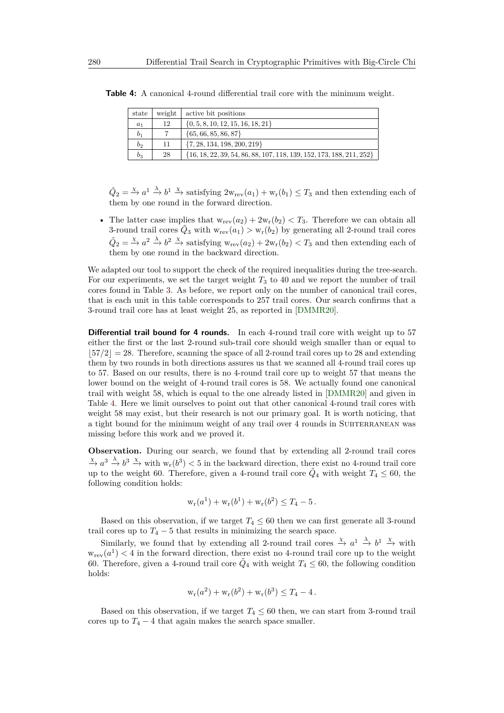| state          | weight | active bit positions                                                     |
|----------------|--------|--------------------------------------------------------------------------|
| $a_1$          | 12     | $\{0, 5, 8, 10, 12, 15, 16, 18, 21\}$                                    |
| b <sub>1</sub> |        | $\{65, 66, 85, 86, 87\}$                                                 |
| b <sub>2</sub> | 11     | $\{7, 28, 134, 198, 200, 219\}$                                          |
| $b_3$          | 28     | $\{16, 18, 22, 39, 54, 86, 88, 107, 118, 139, 152, 173, 188, 211, 252\}$ |

<span id="page-27-0"></span>**Table 4:** A canonical 4-round differential trail core with the minimum weight.

 $\tilde{Q}_2 = \stackrel{\chi}{\to} a^1 \stackrel{\lambda}{\to} b^1 \stackrel{\chi}{\to}$  satisfying  $2w_{rev}(a_1) + w_r(b_1) \leq T_3$  and then extending each of them by one round in the forward direction.

• The latter case implies that  $w_{rev}(a_2) + 2w_r(b_2) < T_3$ . Therefore we can obtain all 3-round trail cores  $\tilde{Q}_3$  with  $w_{rev}(a_1) > w_{r}(b_2)$  by generating all 2-round trail cores  $\tilde{Q}_2 = \stackrel{\chi}{\to} a^2 \stackrel{\lambda}{\to} b^2 \stackrel{\chi}{\to}$  satisfying  $w_{rev}(a_2) + 2w_r(b_2) < T_3$  and then extending each of them by one round in the backward direction.

We adapted our tool to support the check of the required inequalities during the tree-search. For our experiments, we set the target weight *T*<sup>3</sup> to 40 and we report the number of trail cores found in Table [3.](#page-26-1) As before, we report only on the number of canonical trail cores, that is each unit in this table corresponds to 257 trail cores. Our search confirms that a 3-round trail core has at least weight 25, as reported in [\[DMMR20\]](#page-30-4).

**Differential trail bound for 4 rounds.** In each 4-round trail core with weight up to 57 either the first or the last 2-round sub-trail core should weigh smaller than or equal to  $|57/2| = 28$ . Therefore, scanning the space of all 2-round trail cores up to 28 and extending them by two rounds in both directions assures us that we scanned all 4-round trail cores up to 57. Based on our results, there is no 4-round trail core up to weight 57 that means the lower bound on the weight of 4-round trail cores is 58. We actually found one canonical trail with weight 58, which is equal to the one already listed in [\[DMMR20\]](#page-30-4) and given in Table [4.](#page-27-0) Here we limit ourselves to point out that other canonical 4-round trail cores with weight 58 may exist, but their research is not our primary goal. It is worth noticing, that a tight bound for the minimum weight of any trail over 4 rounds in SUBTERRANEAN was missing before this work and we proved it.

**Observation.** During our search, we found that by extending all 2-round trail cores  $\frac{\chi}{\to} a^3 \xrightarrow{\lambda} b^3 \xrightarrow{\chi}$  with  $w_r(b^3) < 5$  in the backward direction, there exist no 4-round trail core up to the weight 60. Therefore, given a 4-round trail core  $\tilde{Q}_4$  with weight  $T_4 \leq 60$ , the following condition holds:

$$
w_r(a^1) + w_r(b^1) + w_r(b^2) \le T_4 - 5
$$
.

Based on this observation, if we target  $T_4 \leq 60$  then we can first generate all 3-round trail cores up to  $T_4 - 5$  that results in minimizing the search space.

Similarly, we found that by extending all 2-round trail cores  $\stackrel{\chi}{\to} a^1 \stackrel{\lambda}{\to} b^1 \stackrel{\chi}{\to}$  with  $w_{rev}(a^1)$  < 4 in the forward direction, there exist no 4-round trail core up to the weight 60. Therefore, given a 4-round trail core  $\tilde{Q}_4$  with weight  $T_4 \leq 60$ , the following condition holds:

$$
w_r(a^2) + w_r(b^2) + w_r(b^3) \le T_4 - 4.
$$

Based on this observation, if we target  $T_4 \leq 60$  then, we can start from 3-round trail cores up to  $T_4 - 4$  that again makes the search space smaller.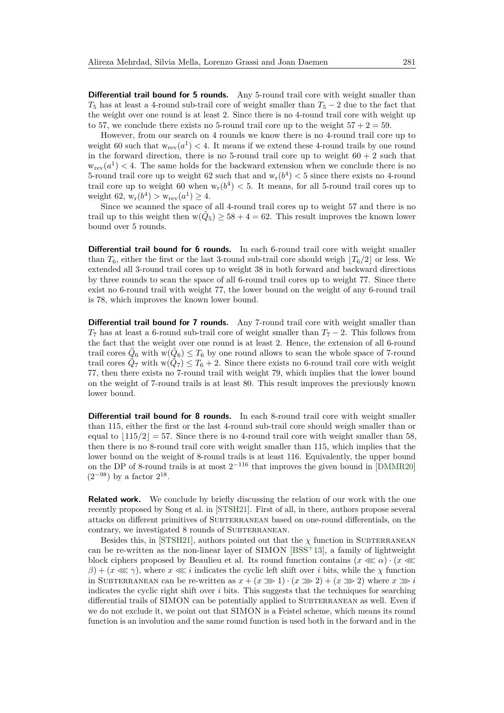**Differential trail bound for 5 rounds.** Any 5-round trail core with weight smaller than  $T_5$  has at least a 4-round sub-trail core of weight smaller than  $T_5 - 2$  due to the fact that the weight over one round is at least 2. Since there is no 4-round trail core with weight up to 57, we conclude there exists no 5-round trail core up to the weight  $57 + 2 = 59$ .

However, from our search on 4 rounds we know there is no 4-round trail core up to weight 60 such that  $w_{rev}(a^1) < 4$ . It means if we extend these 4-round trails by one round in the forward direction, there is no 5-round trail core up to weight  $60 + 2$  such that  $w_{rev}(a^1)$  < 4. The same holds for the backward extension when we conclude there is no 5-round trail core up to weight 62 such that and  $w_r(b^4) < 5$  since there exists no 4-round trail core up to weight 60 when  $w_r(b^4) < 5$ . It means, for all 5-round trail cores up to weight 62,  $w_r(b^4) > w_{rev}(a^1) \ge 4$ .

Since we scanned the space of all 4-round trail cores up to weight 57 and there is no trail up to this weight then  $w(\tilde{Q}_5) \ge 58 + 4 = 62$ . This result improves the known lower bound over 5 rounds.

**Differential trail bound for 6 rounds.** In each 6-round trail core with weight smaller than  $T_6$ , either the first or the last 3-round sub-trail core should weigh  $|T_6/2|$  or less. We extended all 3-round trail cores up to weight 38 in both forward and backward directions by three rounds to scan the space of all 6-round trail cores up to weight 77. Since there exist no 6-round trail with weight 77, the lower bound on the weight of any 6-round trail is 78, which improves the known lower bound.

**Differential trail bound for 7 rounds.** Any 7-round trail core with weight smaller than  $T_7$  has at least a 6-round sub-trail core of weight smaller than  $T_7 - 2$ . This follows from the fact that the weight over one round is at least 2. Hence, the extension of all 6-round trail cores  $\tilde{Q}_6$  with  $\tilde{w}(\tilde{Q}_6) \le T_6$  by one round allows to scan the whole space of 7-round trail cores  $\tilde{Q}_7$  with  $w(\tilde{Q}_7) \le T_6 + 2$ . Since there exists no 6-round trail core with weight 77, then there exists no 7-round trail with weight 79, which implies that the lower bound on the weight of 7-round trails is at least 80. This result improves the previously known lower bound.

**Differential trail bound for 8 rounds.** In each 8-round trail core with weight smaller than 115, either the first or the last 4-round sub-trail core should weigh smaller than or equal to  $\vert 115/2 \vert = 57$ . Since there is no 4-round trail core with weight smaller than 58, then there is no 8-round trail core with weight smaller than 115, which implies that the lower bound on the weight of 8-round trails is at least 116. Equivalently, the upper bound on the DP of 8-round trails is at most  $2^{-116}$  that improves the given bound in [\[DMMR20\]](#page-30-4)  $(2^{-98})$  by a factor  $2^{18}$ .

**Related work.** We conclude by briefly discussing the relation of our work with the one recently proposed by Song et al. in [\[STSH21\]](#page-31-9). First of all, in there, authors propose several attacks on different primitives of SUBTERRANEAN based on one-round differentials, on the contrary, we investigated 8 rounds of SUBTERRANEAN.

Besides this, in [\[STSH21\]](#page-31-9), authors pointed out that the  $\chi$  function in SUBTERRANEAN can be re-written as the non-linear layer of SIMON [\[BSS](#page-29-7)<sup>+</sup>13], a family of lightweight block ciphers proposed by Beaulieu et al. Its round function contains  $(x \ll \alpha) \cdot (x \ll \alpha)$  $\beta$ ) + ( $x \ll \gamma$ ), where  $x \ll i$  indicates the cyclic left shift over *i* bits, while the  $\chi$  function in SUBTERRANEAN can be re-written as  $x + (x \ggg 1) \cdot (x \ggg 2) + (x \ggg 2)$  where  $x \ggg i$ indicates the cyclic right shift over  $i$  bits. This suggests that the techniques for searching differential trails of SIMON can be potentially applied to SUBTERRANEAN as well. Even if we do not exclude it, we point out that SIMON is a Feistel scheme, which means its round function is an involution and the same round function is used both in the forward and in the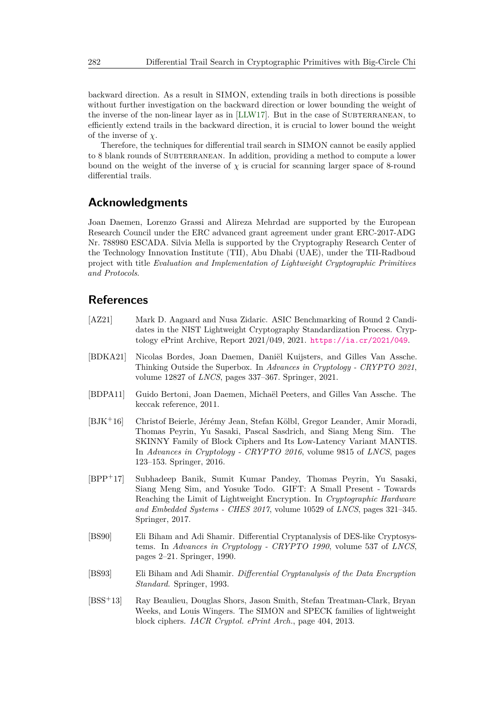backward direction. As a result in SIMON, extending trails in both directions is possible without further investigation on the backward direction or lower bounding the weight of the inverse of the non-linear layer as in [\[LLW17\]](#page-31-10). But in the case of SUBTERRANEAN, to efficiently extend trails in the backward direction, it is crucial to lower bound the weight of the inverse of *χ*.

Therefore, the techniques for differential trail search in SIMON cannot be easily applied to 8 blank rounds of SUBTERRANEAN. In addition, providing a method to compute a lower bound on the weight of the inverse of  $\chi$  is crucial for scanning larger space of 8-round differential trails.

## **Acknowledgments**

Joan Daemen, Lorenzo Grassi and Alireza Mehrdad are supported by the European Research Council under the ERC advanced grant agreement under grant ERC-2017-ADG Nr. 788980 ESCADA. Silvia Mella is supported by the Cryptography Research Center of the Technology Innovation Institute (TII), Abu Dhabi (UAE), under the TII-Radboud project with title *Evaluation and Implementation of Lightweight Cryptographic Primitives and Protocols*.

## **References**

- <span id="page-29-4"></span>[AZ21] Mark D. Aagaard and Nusa Zidaric. ASIC Benchmarking of Round 2 Candidates in the NIST Lightweight Cryptography Standardization Process. Cryptology ePrint Archive, Report 2021/049, 2021. <https://ia.cr/2021/049>.
- <span id="page-29-5"></span>[BDKA21] Nicolas Bordes, Joan Daemen, Daniël Kuijsters, and Gilles Van Assche. Thinking Outside the Superbox. In *Advances in Cryptology - CRYPTO 2021*, volume 12827 of *LNCS*, pages 337–367. Springer, 2021.
- <span id="page-29-6"></span>[BDPA11] Guido Bertoni, Joan Daemen, Michaël Peeters, and Gilles Van Assche. The keccak reference, 2011.
- <span id="page-29-3"></span>[BJK<sup>+</sup>16] Christof Beierle, Jérémy Jean, Stefan Kölbl, Gregor Leander, Amir Moradi, Thomas Peyrin, Yu Sasaki, Pascal Sasdrich, and Siang Meng Sim. The SKINNY Family of Block Ciphers and Its Low-Latency Variant MANTIS. In *Advances in Cryptology - CRYPTO 2016*, volume 9815 of *LNCS*, pages 123–153. Springer, 2016.
- <span id="page-29-2"></span>[BPP<sup>+</sup>17] Subhadeep Banik, Sumit Kumar Pandey, Thomas Peyrin, Yu Sasaki, Siang Meng Sim, and Yosuke Todo. GIFT: A Small Present - Towards Reaching the Limit of Lightweight Encryption. In *Cryptographic Hardware and Embedded Systems - CHES 2017*, volume 10529 of *LNCS*, pages 321–345. Springer, 2017.
- <span id="page-29-0"></span>[BS90] Eli Biham and Adi Shamir. Differential Cryptanalysis of DES-like Cryptosystems. In *Advances in Cryptology - CRYPTO 1990*, volume 537 of *LNCS*, pages 2–21. Springer, 1990.
- <span id="page-29-1"></span>[BS93] Eli Biham and Adi Shamir. *Differential Cryptanalysis of the Data Encryption Standard*. Springer, 1993.
- <span id="page-29-7"></span>[BSS<sup>+</sup>13] Ray Beaulieu, Douglas Shors, Jason Smith, Stefan Treatman-Clark, Bryan Weeks, and Louis Wingers. The SIMON and SPECK families of lightweight block ciphers. *IACR Cryptol. ePrint Arch.*, page 404, 2013.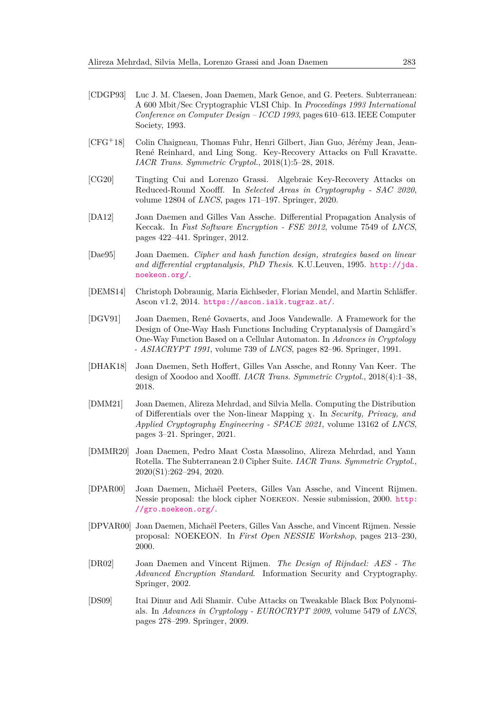- <span id="page-30-5"></span>[CDGP93] Luc J. M. Claesen, Joan Daemen, Mark Genoe, and G. Peeters. Subterranean: A 600 Mbit/Sec Cryptographic VLSI Chip. In *Proceedings 1993 International Conference on Computer Design – ICCD 1993*, pages 610–613. IEEE Computer Society, 1993.
- <span id="page-30-8"></span>[CFG<sup>+</sup>18] Colin Chaigneau, Thomas Fuhr, Henri Gilbert, Jian Guo, Jérémy Jean, Jean-René Reinhard, and Ling Song. Key-Recovery Attacks on Full Kravatte. *IACR Trans. Symmetric Cryptol.*, 2018(1):5–28, 2018.
- <span id="page-30-9"></span>[CG20] Tingting Cui and Lorenzo Grassi. Algebraic Key-Recovery Attacks on Reduced-Round Xoofff. In *Selected Areas in Cryptography - SAC 2020*, volume 12804 of *LNCS*, pages 171–197. Springer, 2020.
- <span id="page-30-1"></span>[DA12] Joan Daemen and Gilles Van Assche. Differential Propagation Analysis of Keccak. In *Fast Software Encryption - FSE 2012*, volume 7549 of *LNCS*, pages 422–441. Springer, 2012.
- <span id="page-30-7"></span>[Dae95] Joan Daemen. *Cipher and hash function design, strategies based on linear and differential cryptanalysis, PhD Thesis*. K.U.Leuven, 1995. [http://jda.](http://jda.noekeon.org/) [noekeon.org/](http://jda.noekeon.org/).
- <span id="page-30-13"></span>[DEMS14] Christoph Dobraunig, Maria Eichlseder, Florian Mendel, and Martin Schläffer. Ascon v1.2, 2014. <https://ascon.iaik.tugraz.at/>.
- <span id="page-30-6"></span>[DGV91] Joan Daemen, René Govaerts, and Joos Vandewalle. A Framework for the Design of One-Way Hash Functions Including Cryptanalysis of Damgård's One-Way Function Based on a Cellular Automaton. In *Advances in Cryptology - ASIACRYPT 1991*, volume 739 of *LNCS*, pages 82–96. Springer, 1991.
- <span id="page-30-2"></span>[DHAK18] Joan Daemen, Seth Hoffert, Gilles Van Assche, and Ronny Van Keer. The design of Xoodoo and Xoofff. *IACR Trans. Symmetric Cryptol.*, 2018(4):1–38, 2018.
- <span id="page-30-11"></span>[DMM21] Joan Daemen, Alireza Mehrdad, and Silvia Mella. Computing the Distribution of Differentials over the Non-linear Mapping *χ*. In *Security, Privacy, and Applied Cryptography Engineering - SPACE 2021*, volume 13162 of *LNCS*, pages 3–21. Springer, 2021.
- <span id="page-30-4"></span>[DMMR20] Joan Daemen, Pedro Maat Costa Massolino, Alireza Mehrdad, and Yann Rotella. The Subterranean 2.0 Cipher Suite. *IACR Trans. Symmetric Cryptol.*, 2020(S1):262–294, 2020.
- <span id="page-30-12"></span>[DPAR00] Joan Daemen, Michaël Peeters, Gilles Van Assche, and Vincent Rijmen. Nessie proposal: the block cipher Noekeon. Nessie submission, 2000. [http:](http://gro.noekeon.org/) [//gro.noekeon.org/](http://gro.noekeon.org/).
- <span id="page-30-3"></span>[DPVAR00] Joan Daemen, Michaël Peeters, Gilles Van Assche, and Vincent Rijmen. Nessie proposal: NOEKEON. In *First Open NESSIE Workshop*, pages 213–230, 2000.
- <span id="page-30-0"></span>[DR02] Joan Daemen and Vincent Rijmen. *The Design of Rijndael: AES - The Advanced Encryption Standard*. Information Security and Cryptography. Springer, 2002.
- <span id="page-30-10"></span>[DS09] Itai Dinur and Adi Shamir. Cube Attacks on Tweakable Black Box Polynomials. In *Advances in Cryptology - EUROCRYPT 2009*, volume 5479 of *LNCS*, pages 278–299. Springer, 2009.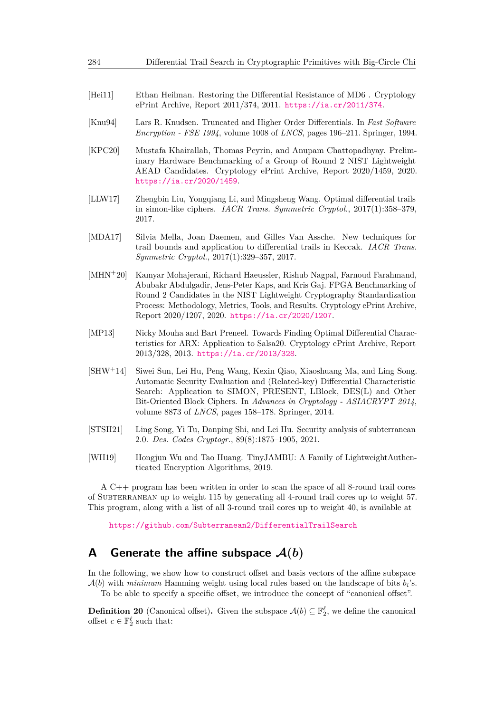- <span id="page-31-0"></span>[Hei11] Ethan Heilman. Restoring the Differential Resistance of MD6 . Cryptology ePrint Archive, Report 2011/374, 2011. <https://ia.cr/2011/374>.
- <span id="page-31-7"></span>[Knu94] Lars R. Knudsen. Truncated and Higher Order Differentials. In *Fast Software Encryption - FSE 1994*, volume 1008 of *LNCS*, pages 196–211. Springer, 1994.
- <span id="page-31-6"></span>[KPC20] Mustafa Khairallah, Thomas Peyrin, and Anupam Chattopadhyay. Preliminary Hardware Benchmarking of a Group of Round 2 NIST Lightweight AEAD Candidates. Cryptology ePrint Archive, Report 2020/1459, 2020. <https://ia.cr/2020/1459>.
- <span id="page-31-10"></span>[LLW17] Zhengbin Liu, Yongqiang Li, and Mingsheng Wang. Optimal differential trails in simon-like ciphers. *IACR Trans. Symmetric Cryptol.*, 2017(1):358–379, 2017.
- <span id="page-31-2"></span>[MDA17] Silvia Mella, Joan Daemen, and Gilles Van Assche. New techniques for trail bounds and application to differential trails in Keccak. *IACR Trans. Symmetric Cryptol.*, 2017(1):329–357, 2017.
- <span id="page-31-5"></span>[MHN<sup>+</sup>20] Kamyar Mohajerani, Richard Haeussler, Rishub Nagpal, Farnoud Farahmand, Abubakr Abdulgadir, Jens-Peter Kaps, and Kris Gaj. FPGA Benchmarking of Round 2 Candidates in the NIST Lightweight Cryptography Standardization Process: Methodology, Metrics, Tools, and Results. Cryptology ePrint Archive, Report 2020/1207, 2020. <https://ia.cr/2020/1207>.
- <span id="page-31-4"></span>[MP13] Nicky Mouha and Bart Preneel. Towards Finding Optimal Differential Characteristics for ARX: Application to Salsa20. Cryptology ePrint Archive, Report 2013/328, 2013. <https://ia.cr/2013/328>.
- <span id="page-31-3"></span>[SHW<sup>+</sup>14] Siwei Sun, Lei Hu, Peng Wang, Kexin Qiao, Xiaoshuang Ma, and Ling Song. Automatic Security Evaluation and (Related-key) Differential Characteristic Search: Application to SIMON, PRESENT, LBlock, DES(L) and Other Bit-Oriented Block Ciphers. In *Advances in Cryptology - ASIACRYPT 2014*, volume 8873 of *LNCS*, pages 158–178. Springer, 2014.
- <span id="page-31-9"></span>[STSH21] Ling Song, Yi Tu, Danping Shi, and Lei Hu. Security analysis of subterranean 2.0. *Des. Codes Cryptogr.*, 89(8):1875–1905, 2021.
- <span id="page-31-1"></span>[WH19] Hongjun Wu and Tao Huang. TinyJAMBU: A Family of LightweightAuthenticated Encryption Algorithms, 2019.

A C++ program has been written in order to scan the space of all 8-round trail cores of Subterranean up to weight 115 by generating all 4-round trail cores up to weight 57. This program, along with a list of all 3-round trail cores up to weight 40, is available at

<https://github.com/Subterranean2/DifferentialTrailSearch>

## <span id="page-31-8"></span>**A** Generate the affine subspace  $\mathcal{A}(b)$

In the following, we show how to construct offset and basis vectors of the affine subspace  $\mathcal{A}(b)$  with *minimum* Hamming weight using local rules based on the landscape of bits  $b_i$ 's.

To be able to specify a specific offset, we introduce the concept of "canonical offset".

**Definition 20** (Canonical offset). Given the subspace  $\mathcal{A}(b) \subseteq \mathbb{F}_2^{\ell}$ , we define the canonical offset  $c \in \mathbb{F}_2^{\ell}$  such that: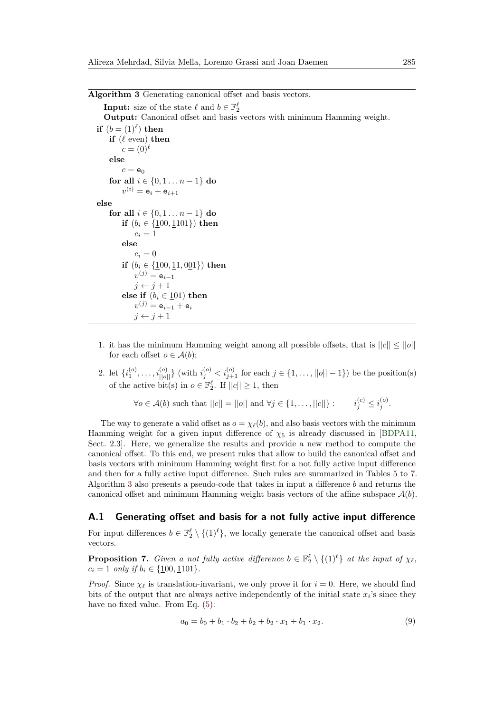<span id="page-32-0"></span>

| Algorithm 3 Generating canonical offset and basis vectors. |  |  |  |  |  |  |
|------------------------------------------------------------|--|--|--|--|--|--|
|------------------------------------------------------------|--|--|--|--|--|--|

```
Input: size of the state \ell and b \in \mathbb{F}_2^{\ell}Output: Canonical offset and basis vectors with minimum Hamming weight.
\mathbf{if} (b = (1)^{\ell}) then
     if (\ell \text{ even}) then
         c = (0)^{\ell}else
         c = e_0for all i \in \{0, 1, \ldots n-1\} do
          v^{(i)} = \mathsf{e}_i + \mathsf{e}_{i+1}else
     for all i \in \{0, 1, \ldots n-1\} do
          if (b_i \in \{100, 1101\}) then
               c_i = 1else
               c_i = 0if (b_i \in \{100, 11, 001\}) then
               v^{(j)} = \mathsf{e}_{i-1}j \leftarrow j + 1else if (b_i \in \underline{1}01) then
               v^{(j)} = \mathsf{e}_{i-1} + \mathsf{e}_ij \leftarrow j + 1
```
- 1. it has the minimum Hamming weight among all possible offsets, that is  $||c|| \le ||o||$ for each offset  $o \in \mathcal{A}(b)$ ;
- 2. let  $\{i_1^{(o)}, \ldots, i_{||o||}^{(o)}\}$  (with  $i_j^{(o)} < i_{j+1}^{(o)}$  for each  $j \in \{1, \ldots, ||o|| 1\}$ ) be the position(s) of the active bit(s) in  $o \in \mathbb{F}_2^{\ell}$ . If  $||c|| \geq 1$ , then

$$
\forall o \in \mathcal{A}(b) \text{ such that } ||c|| = ||o|| \text{ and } \forall j \in \{1, \dots, ||c||\} : i_j^{(c)} \leq i_j^{(o)}.
$$

The way to generate a valid offset as  $o = \chi_{\ell}(b)$ , and also basis vectors with the minimum Hamming weight for a given input difference of  $\chi_5$  is already discussed in [\[BDPA11,](#page-29-6) Sect. 2.3]. Here, we generalize the results and provide a new method to compute the canonical offset. To this end, we present rules that allow to build the canonical offset and basis vectors with minimum Hamming weight first for a not fully active input difference and then for a fully active input difference. Such rules are summarized in Tables [5](#page-33-1) to [7.](#page-34-0) Algorithm [3](#page-32-0) also presents a pseudo-code that takes in input a difference *b* and returns the canonical offset and minimum Hamming weight basis vectors of the affine subspace  $\mathcal{A}(b)$ .

#### **A.1 Generating offset and basis for a not fully active input difference**

For input differences  $b \in \mathbb{F}_2^{\ell} \setminus \{(1)^{\ell}\}\)$ , we locally generate the canonical offset and basis vectors.

**Proposition 7.** *Given a not fully active difference*  $b \in \mathbb{F}_2^{\ell} \setminus \{(1)^{\ell}\}$  *at the input of*  $\chi_{\ell}$ *,*  $c_i = 1$  *only if*  $b_i \in \{100, 1101\}.$ 

*Proof.* Since  $\chi_{\ell}$  is translation-invariant, we only prove it for  $i = 0$ . Here, we should find bits of the output that are always active independently of the initial state  $x_i$ 's since they have no fixed value. From Eq.  $(5)$ :

$$
a_0 = b_0 + b_1 \cdot b_2 + b_2 + b_3 \cdot x_1 + b_1 \cdot x_2. \tag{9}
$$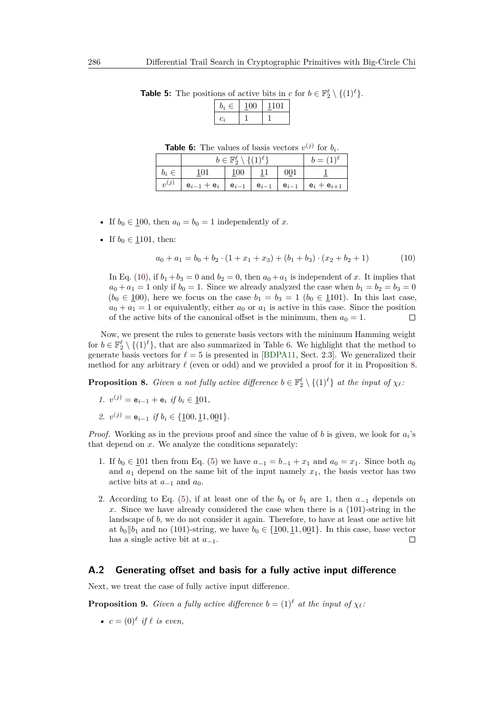<span id="page-33-2"></span>

| Ξ.<br>Ξ. | 1 I O I |
|----------|---------|
|          |         |

<span id="page-33-1"></span>**Table 5:** The positions of active bits in *c* for  $b \in \mathbb{F}_2^{\ell} \setminus \{(1)^{\ell}\}.$ 

**Table 6:** The values of basis vectors  $v^{(j)}$  for  $b_i$ .

<span id="page-33-0"></span>

|           |                 | $b \in \mathbb{F}_2^{\ell} \setminus \{(1)^{\ell}\}\$ |           |           | $b=(1)^{\ell}$  |
|-----------|-----------------|-------------------------------------------------------|-----------|-----------|-----------------|
| $b_i \in$ | 101             | 100                                                   |           | 001       |                 |
| $v^{(j)}$ | $e_{i-1} + e_i$ | $e_{i-1}$                                             | $e_{i-1}$ | $e_{i-1}$ | $e_i + e_{i+1}$ |

- If  $b_0 \in \underline{100}$ , then  $a_0 = b_0 = 1$  independently of *x*.
- If  $b_0 \in 1101$ , then:

$$
a_0 + a_1 = b_0 + b_2 \cdot (1 + x_1 + x_3) + (b_1 + b_3) \cdot (x_2 + b_2 + 1) \tag{10}
$$

In Eq. [\(10\)](#page-33-2), if  $b_1 + b_3 = 0$  and  $b_2 = 0$ , then  $a_0 + a_1$  is independent of *x*. It implies that  $a_0 + a_1 = 1$  only if  $b_0 = 1$ . Since we already analyzed the case when  $b_1 = b_2 = b_3 = 0$  $(b_0 \in \underline{1}00)$ , here we focus on the case  $b_1 = b_3 = 1$   $(b_0 \in \underline{1}101)$ . In this last case,  $a_0 + a_1 = 1$  or equivalently, either  $a_0$  or  $a_1$  is active in this case. Since the position of the active bits of the canonical offset is the minimum, then  $a_0 = 1$ .  $\Box$ 

Now, we present the rules to generate basis vectors with the minimum Hamming weight for  $b \in \mathbb{F}_2^{\ell} \setminus \{(1)^{\ell}\}\)$ , that are also summarized in Table [6.](#page-33-0) We highlight that the method to generate basis vectors for  $\ell = 5$  is presented in [\[BDPA11,](#page-29-6) Sect. 2.3]. We generalized their method for any arbitrary  $\ell$  (even or odd) and we provided a proof for it in Proposition [8.](#page-33-3)

<span id="page-33-3"></span>**Proposition 8.** *Given a not fully active difference*  $b \in \mathbb{F}_2^{\ell} \setminus \{(1)^{\ell}\}\$ at the input of  $\chi_{\ell}$ .

- *1.*  $v^{(j)} = e_{i-1} + e_i$  *if*  $b_i \in \text{\underline{101}},$
- *2.*  $v^{(j)} = e_{i-1}$  *if*  $b_i \in \{100, 11, 001\}.$

*Proof.* Working as in the previous proof and since the value of *b* is given, we look for *a<sup>i</sup>* 's that depend on *x*. We analyze the conditions separately:

- 1. If *b*<sub>0</sub> ∈ <u>1</u>01 then from Eq. [\(5\)](#page-11-3) we have  $a_{-1} = b_{-1} + x_1$  and  $a_0 = x_1$ . Since both  $a_0$ and  $a_1$  depend on the same bit of the input namely  $x_1$ , the basis vector has two active bits at  $a_{-1}$  and  $a_0$ .
- 2. According to Eq. [\(5\)](#page-11-3), if at least one of the  $b_0$  or  $b_1$  are 1, then  $a_{-1}$  depends on *x*. Since we have already considered the case when there is a (101)-string in the landscape of *b*, we do not consider it again. Therefore, to have at least one active bit at  $b_0 \parallel b_1$  and no (101)-string, we have  $b_0 \in \{100, 11, 001\}$ . In this case, base vector has a single active bit at *a*<sup>−</sup>1.  $\Box$

#### **A.2 Generating offset and basis for a fully active input difference**

<span id="page-33-4"></span>Next, we treat the case of fully active input difference.

**Proposition 9.** *Given a fully active difference*  $b = (1)^{\ell}$  *at the input of*  $\chi_{\ell}$ *:* 

•  $c = (0)^\ell$  *if*  $\ell$  *is even,*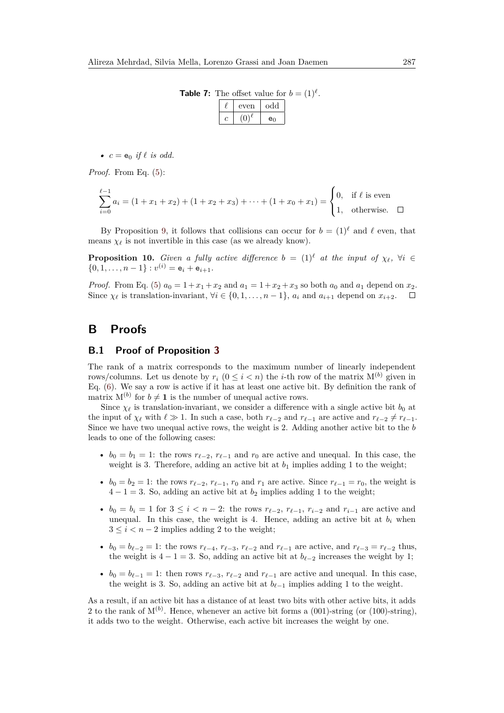**Table 7:** The offset value for  $b = (1)^{\ell}$ .

| even | odd |
|------|-----|
|      | e٥  |

<span id="page-34-0"></span>•  $c = e_0$  *if*  $\ell$  *is odd.* 

*Proof.* From Eq. [\(5\)](#page-11-3):

$$
\sum_{i=0}^{\ell-1} a_i = (1+x_1+x_2) + (1+x_2+x_3) + \dots + (1+x_0+x_1) = \begin{cases} 0, & \text{if } \ell \text{ is even} \\ 1, & \text{otherwise.} \end{cases}
$$

By Proposition [9,](#page-33-4) it follows that collisions can occur for  $b = (1)^\ell$  and  $\ell$  even, that means  $\chi_{\ell}$  is not invertible in this case (as we already know).

**Proposition 10.** *Given a fully active difference*  $b = (1)^{\ell}$  *at the input of*  $\chi_{\ell}$ ,  $\forall i \in$  $\{0, 1, \ldots, n-1\} : v^{(i)} = e_i + e_{i+1}.$ 

*Proof.* From Eq. [\(5\)](#page-11-3)  $a_0 = 1 + x_1 + x_2$  and  $a_1 = 1 + x_2 + x_3$  so both  $a_0$  and  $a_1$  depend on  $x_2$ . Since  $\chi_{\ell}$  is translation-invariant,  $\forall i \in \{0, 1, \ldots, n-1\}$ ,  $a_i$  and  $a_{i+1}$  depend on  $x_{i+2}$ .  $\Box$ 

## <span id="page-34-1"></span>**B Proofs**

### **B.1 Proof of Proposition [3](#page-12-0)**

The rank of a matrix corresponds to the maximum number of linearly independent rows/columns. Let us denote by  $r_i$   $(0 \leq i < n)$  the *i*-th row of the matrix  $M^{(b)}$  given in Eq. [\(6\)](#page-11-2). We say a row is active if it has at least one active bit. By definition the rank of matrix  $M^{(b)}$  for  $b \neq 1$  is the number of unequal active rows.

Since  $\chi_{\ell}$  is translation-invariant, we consider a difference with a single active bit  $b_0$  at the input of  $\chi_{\ell}$  with  $\ell \gg 1$ . In such a case, both  $r_{\ell-2}$  and  $r_{\ell-1}$  are active and  $r_{\ell-2} \neq r_{\ell-1}$ . Since we have two unequal active rows, the weight is 2. Adding another active bit to the *b* leads to one of the following cases:

- $b_0 = b_1 = 1$ : the rows  $r_{\ell-2}$ ,  $r_{\ell-1}$  and  $r_0$  are active and unequal. In this case, the weight is 3. Therefore, adding an active bit at  $b_1$  implies adding 1 to the weight;
- $b_0 = b_2 = 1$ : the rows  $r_{\ell-2}, r_{\ell-1}, r_0$  and  $r_1$  are active. Since  $r_{\ell-1} = r_0$ , the weight is  $4 - 1 = 3$ . So, adding an active bit at  $b_2$  implies adding 1 to the weight;
- $b_0 = b_i = 1$  for  $3 \leq i < n 2$ : the rows  $r_{\ell-2}$ ,  $r_{\ell-1}$ ,  $r_{i-2}$  and  $r_{i-1}$  are active and unequal. In this case, the weight is 4. Hence, adding an active bit at  $b_i$  when  $3 \leq i < n-2$  implies adding 2 to the weight;
- $b_0 = b_{\ell-2} = 1$ : the rows  $r_{\ell-4}$ ,  $r_{\ell-3}$ ,  $r_{\ell-2}$  and  $r_{\ell-1}$  are active, and  $r_{\ell-3} = r_{\ell-2}$  thus, the weight is  $4 - 1 = 3$ . So, adding an active bit at  $b_{\ell-2}$  increases the weight by 1;
- $b_0 = b_{\ell-1} = 1$ : then rows  $r_{\ell-3}$ ,  $r_{\ell-2}$  and  $r_{\ell-1}$  are active and unequal. In this case, the weight is 3. So, adding an active bit at  $b_{\ell-1}$  implies adding 1 to the weight.

As a result, if an active bit has a distance of at least two bits with other active bits, it adds 2 to the rank of  $M^{(b)}$ . Hence, whenever an active bit forms a  $(001)$ -string (or  $(100)$ -string), it adds two to the weight. Otherwise, each active bit increases the weight by one.